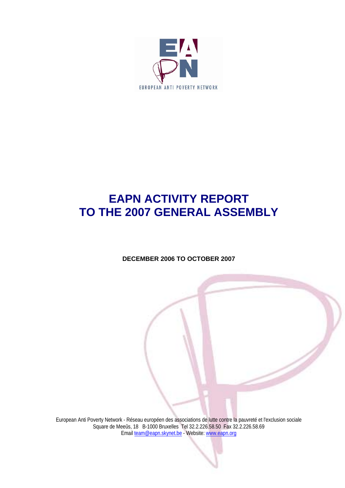

# **EAPN ACTIVITY REPORT TO THE 2007 GENERAL ASSEMBLY**

## **DECEMBER 2006 TO OCTOBER 2007**

European Anti Poverty Network - Réseau européen des associations de lutte contre la pauvreté et l'exclusion sociale Square de Meeûs, 18 B-1000 Bruxelles Tel 32.2.226.58.50 Fax 32.2.226.58.69 Email team@eapn.skynet.be - Website: www.eapn.org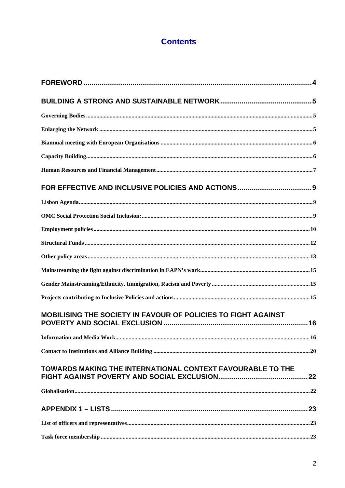## **Contents**

| MOBILISING THE SOCIETY IN FAVOUR OF POLICIES TO FIGHT AGAINST     |    |
|-------------------------------------------------------------------|----|
| <b>Information and Media Work</b>                                 | 16 |
|                                                                   |    |
| <b>TOWARDS MAKING THE INTERNATIONAL CONTEXT FAVOURABLE TO THE</b> |    |
|                                                                   |    |
|                                                                   |    |
|                                                                   |    |
|                                                                   |    |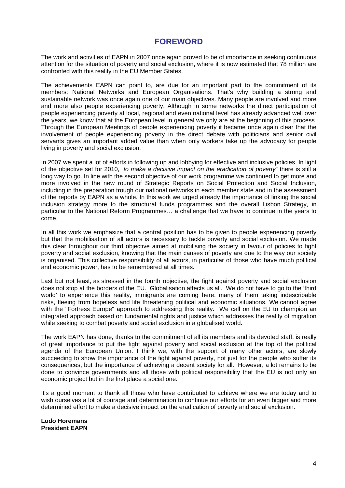## **FOREWORD**

The work and activities of EAPN in 2007 once again proved to be of importance in seeking continuous attention for the situation of poverty and social exclusion, where it is now estimated that 78 million are confronted with this reality in the EU Member States.

The achievements EAPN can point to, are due for an important part to the commitment of its members: National Networks and European Organisations. That's why building a strong and sustainable network was once again one of our main objectives. Many people are involved and more and more also people experiencing poverty. Although in some networks the direct participation of people experiencing poverty at local, regional and even national level has already advanced well over the years, we know that at the European level in general we only are at the beginning of this process. Through the European Meetings of people experiencing poverty it became once again clear that the involvement of people experiencing poverty in the direct debate with politicians and senior civil servants gives an important added value than when only workers take up the advocacy for people living in poverty and social exclusion.

In 2007 we spent a lot of efforts in following up and lobbying for effective and inclusive policies. In light of the objective set for 2010, "*to make a decisive impact on the eradication of poverty*" there is still a long way to go. In line with the second objective of our work programme we continued to get more and more involved in the new round of Strategic Reports on Social Protection and Social Inclusion, including in the preparation trough our national networks in each member state and in the assessment of the reports by EAPN as a whole. In this work we urged already the importance of linking the social inclusion strategy more to the structural funds programmes and the overall Lisbon Strategy, in particular to the National Reform Programmes… a challenge that we have to continue in the years to come.

In all this work we emphasize that a central position has to be given to people experiencing poverty but that the mobilisation of all actors is necessary to tackle poverty and social exclusion. We made this clear throughout our third objective aimed at mobilising the society in favour of policies to fight poverty and social exclusion, knowing that the main causes of poverty are due to the way our society is organised. This collective responsibility of all actors, in particular of those who have much political and economic power, has to be remembered at all times.

Last but not least, as stressed in the fourth objective, the fight against poverty and social exclusion does not stop at the borders of the EU. Globalisation affects us all. We do not have to go to the 'third world' to experience this reality, immigrants are coming here, many of them taking indescribable risks, fleeing from hopeless and life threatening political and economic situations. We cannot agree with the "Fortress Europe" approach to addressing this reality. We call on the EU to champion an integrated approach based on fundamental rights and justice which addresses the reality of migration while seeking to combat poverty and social exclusion in a globalised world.

The work EAPN has done, thanks to the commitment of all its members and its devoted staff, is really of great importance to put the fight against poverty and social exclusion at the top of the political agenda of the European Union. I think we, with the support of many other actors, are slowly succeeding to show the importance of the fight against poverty, not just for the people who suffer its consequences, but the importance of achieving a decent society for all. However, a lot remains to be done to convince governments and all those with political responsibility that the EU is not only an economic project but in the first place a social one.

It's a good moment to thank all those who have contributed to achieve where we are today and to wish ourselves a lot of courage and determination to continue our efforts for an even bigger and more determined effort to make a decisive impact on the eradication of poverty and social exclusion.

**Ludo Horemans President EAPN**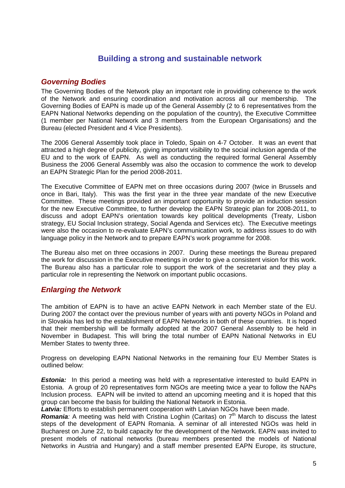## **Building a strong and sustainable network**

## *Governing Bodies*

The Governing Bodies of the Network play an important role in providing coherence to the work of the Network and ensuring coordination and motivation across all our membership. The Governing Bodies of EAPN is made up of the General Assembly (2 to 6 representatives from the EAPN National Networks depending on the population of the country), the Executive Committee (1 member per National Network and 3 members from the European Organisations) and the Bureau (elected President and 4 Vice Presidents).

The 2006 General Assembly took place in Toledo, Spain on 4-7 October. It was an event that attracted a high degree of publicity, giving important visibility to the social inclusion agenda of the EU and to the work of EAPN. As well as conducting the required formal General Assembly Business the 2006 General Assembly was also the occasion to commence the work to develop an EAPN Strategic Plan for the period 2008-2011.

The Executive Committee of EAPN met on three occasions during 2007 (twice in Brussels and once in Bari, Italy). This was the first year in the three year mandate of the new Executive Committee. These meetings provided an important opportunity to provide an induction session for the new Executive Committee, to further develop the EAPN Strategic plan for 2008-2011, to discuss and adopt EAPN's orientation towards key political developments (Treaty, Lisbon strategy, EU Social Inclusion strategy, Social Agenda and Services etc). The Executive meetings were also the occasion to re-evaluate EAPN's communication work, to address issues to do with language policy in the Network and to prepare EAPN's work programme for 2008.

The Bureau also met on three occasions in 2007. During these meetings the Bureau prepared the work for discussion in the Executive meetings in order to give a consistent vision for this work. The Bureau also has a particular role to support the work of the secretariat and they play a particular role in representing the Network on important public occasions.

## *Enlarging the Network*

The ambition of EAPN is to have an active EAPN Network in each Member state of the EU. During 2007 the contact over the previous number of years with anti poverty NGOs in Poland and in Slovakia has led to the establishment of EAPN Networks in both of these countries. It is hoped that their membership will be formally adopted at the 2007 General Assembly to be held in November in Budapest. This will bring the total number of EAPN National Networks in EU Member States to twenty three.

Progress on developing EAPN National Networks in the remaining four EU Member States is outlined below:

**Estonia:** In this period a meeting was held with a representative interested to build EAPN in Estonia. A group of 20 representatives form NGOs are meeting twice a year to follow the NAPs Inclusion process. EAPN will be invited to attend an upcoming meeting and it is hoped that this group can become the basis for building the National Network in Estonia.

*Latvia:* Efforts to establish permanent cooperation with Latvian NGOs have been made.

**Romania**: A meeting was held with Cristina Loghin (Caritas) on  $7<sup>th</sup>$  March to discuss the latest steps of the development of EAPN Romania. A seminar of all interested NGOs was held in Bucharest on June 22, to build capacity for the development of the Network. EAPN was invited to present models of national networks (bureau members presented the models of National Networks in Austria and Hungary) and a staff member presented EAPN Europe, its structure,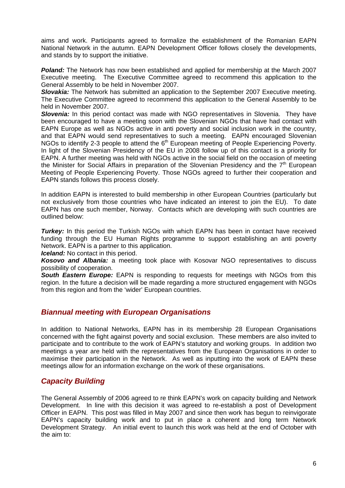aims and work. Participants agreed to formalize the establishment of the Romanian EAPN National Network in the autumn. EAPN Development Officer follows closely the developments, and stands by to support the initiative.

*Poland:* The Network has now been established and applied for membership at the March 2007 Executive meeting. The Executive Committee agreed to recommend this application to the General Assembly to be held in November 2007.

**Slovakia:** The Network has submitted an application to the September 2007 Executive meeting. The Executive Committee agreed to recommend this application to the General Assembly to be held in November 2007.

**Slovenia:** In this period contact was made with NGO representatives in Slovenia. They have been encouraged to have a meeting soon with the Slovenian NGOs that have had contact with EAPN Europe as well as NGOs active in anti poverty and social inclusion work in the country, and that EAPN would send representatives to such a meeting. EAPN encouraged Slovenian NGOs to identify 2-3 people to attend the 6<sup>th</sup> European meeting of People Experiencing Poverty. In light of the Slovenian Presidency of the EU in 2008 follow up of this contact is a priority for EAPN. A further meeting was held with NGOs active in the social field on the occasion of meeting the Minister for Social Affairs in preparation of the Slovenian Presidency and the  $7<sup>th</sup>$  European Meeting of People Experiencing Poverty. Those NGOs agreed to further their cooperation and EAPN stands follows this process closely.

In addition EAPN is interested to build membership in other European Countries (particularly but not exclusively from those countries who have indicated an interest to join the EU). To date EAPN has one such member, Norway. Contacts which are developing with such countries are outlined below:

*Turkey:* In this period the Turkish NGOs with which EAPN has been in contact have received funding through the EU Human Rights programme to support establishing an anti poverty Network. EAPN is a partner to this application.

*Iceland:* No contact in this period.

*Kosovo and Albania:* a meeting took place with Kosovar NGO representatives to discuss possibility of cooperation.

**South Eastern Europe:** EAPN is responding to requests for meetings with NGOs from this region. In the future a decision will be made regarding a more structured engagement with NGOs from this region and from the 'wider' European countries.

## *Biannual meeting with European Organisations*

In addition to National Networks, EAPN has in its membership 28 European Organisations concerned with the fight against poverty and social exclusion. These members are also invited to participate and to contribute to the work of EAPN's statutory and working groups. In addition two meetings a year are held with the representatives from the European Organisations in order to maximise their participation in the Network. As well as inputting into the work of EAPN these meetings allow for an information exchange on the work of these organisations.

## *Capacity Building*

The General Assembly of 2006 agreed to re think EAPN's work on capacity building and Network Development. In line with this decision it was agreed to re-establish a post of Development Officer in EAPN. This post was filled in May 2007 and since then work has begun to reinvigorate EAPN's capacity building work and to put in place a coherent and long term Network Development Strategy. An initial event to launch this work was held at the end of October with the aim to: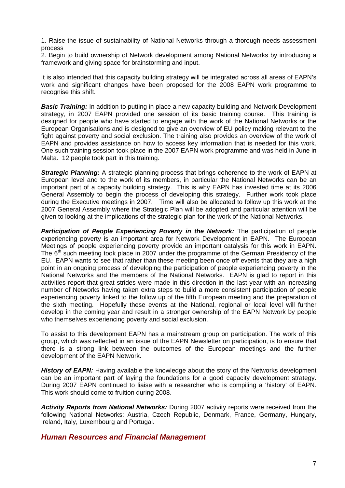1. Raise the issue of sustainability of National Networks through a thorough needs assessment process

2. Begin to build ownership of Network development among National Networks by introducing a framework and giving space for brainstorming and input.

It is also intended that this capacity building strategy will be integrated across all areas of EAPN's work and significant changes have been proposed for the 2008 EAPN work programme to recognise this shift.

**Basic Training:** In addition to putting in place a new capacity building and Network Development strategy, in 2007 EAPN provided one session of its basic training course. This training is designed for people who have started to engage with the work of the National Networks or the European Organisations and is designed to give an overview of EU policy making relevant to the fight against poverty and social exclusion. The training also provides an overview of the work of EAPN and provides assistance on how to access key information that is needed for this work. One such training session took place in the 2007 EAPN work programme and was held in June in Malta. 12 people took part in this training.

*Strategic Planning:* A strategic planning process that brings coherence to the work of EAPN at European level and to the work of its members, in particular the National Networks can be an important part of a capacity building strategy. This is why EAPN has invested time at its 2006 General Assembly to begin the process of developing this strategy. Further work took place during the Executive meetings in 2007. Time will also be allocated to follow up this work at the 2007 General Assembly where the Strategic Plan will be adopted and particular attention will be given to looking at the implications of the strategic plan for the work of the National Networks.

**Participation of People Experiencing Poverty in the Network:** The participation of people experiencing poverty is an important area for Network Development in EAPN. The European Meetings of people experiencing poverty provide an important catalysis for this work in EAPN. The 6<sup>th</sup> such meeting took place in 2007 under the programme of the German Presidency of the EU. EAPN wants to see that rather than these meeting been once off events that they are a high point in an ongoing process of developing the participation of people experiencing poverty in the National Networks and the members of the National Networks. EAPN is glad to report in this activities report that great strides were made in this direction in the last year with an increasing number of Networks having taken extra steps to build a more consistent participation of people experiencing poverty linked to the follow up of the fifth European meeting and the preparation of the sixth meeting. Hopefully these events at the National, regional or local level will further develop in the coming year and result in a stronger ownership of the EAPN Network by people who themselves experiencing poverty and social exclusion.

To assist to this development EAPN has a mainstream group on participation. The work of this group, which was reflected in an issue of the EAPN Newsletter on participation, is to ensure that there is a strong link between the outcomes of the European meetings and the further development of the EAPN Network.

**History of EAPN:** Having available the knowledge about the story of the Networks development can be an important part of laying the foundations for a good capacity development strategy. During 2007 EAPN continued to liaise with a researcher who is compiling a 'history' of EAPN. This work should come to fruition during 2008.

*Activity Reports from National Networks:* During 2007 activity reports were received from the following National Networks: Austria, Czech Republic, Denmark, France, Germany, Hungary, Ireland, Italy, Luxembourg and Portugal.

## *Human Resources and Financial Management*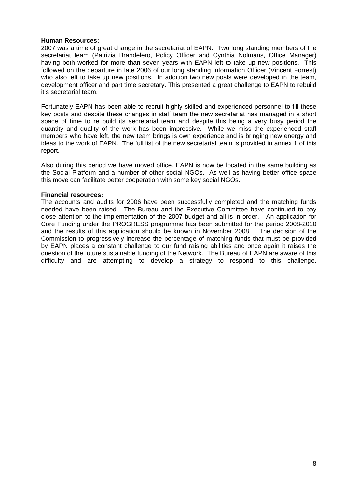#### **Human Resources:**

2007 was a time of great change in the secretariat of EAPN. Two long standing members of the secretariat team (Patrizia Brandelero, Policy Officer and Cynthia Nolmans, Office Manager) having both worked for more than seven years with EAPN left to take up new positions. This followed on the departure in late 2006 of our long standing Information Officer (Vincent Forrest) who also left to take up new positions. In addition two new posts were developed in the team, development officer and part time secretary. This presented a great challenge to EAPN to rebuild it's secretarial team.

Fortunately EAPN has been able to recruit highly skilled and experienced personnel to fill these key posts and despite these changes in staff team the new secretariat has managed in a short space of time to re build its secretarial team and despite this being a very busy period the quantity and quality of the work has been impressive. While we miss the experienced staff members who have left, the new team brings is own experience and is bringing new energy and ideas to the work of EAPN. The full list of the new secretarial team is provided in annex 1 of this report.

Also during this period we have moved office. EAPN is now be located in the same building as the Social Platform and a number of other social NGOs. As well as having better office space this move can facilitate better cooperation with some key social NGOs.

#### **Financial resources:**

The accounts and audits for 2006 have been successfully completed and the matching funds needed have been raised. The Bureau and the Executive Committee have continued to pay close attention to the implementation of the 2007 budget and all is in order. An application for Core Funding under the PROGRESS programme has been submitted for the period 2008-2010 and the results of this application should be known in November 2008. The decision of the Commission to progressively increase the percentage of matching funds that must be provided by EAPN places a constant challenge to our fund raising abilities and once again it raises the question of the future sustainable funding of the Network. The Bureau of EAPN are aware of this difficulty and are attempting to develop a strategy to respond to this challenge.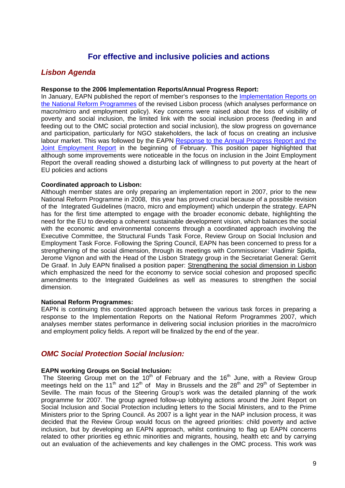## **For effective and inclusive policies and actions**

## *Lisbon Agenda*

#### **Response to the 2006 Implementation Reports/Annual Progress Report:**

In January, EAPN published the report of member's responses to the Implementation Reports on the National Reform Programmes of the revised Lisbon process (which analyses performance on macro/micro and employment policy). Key concerns were raised about the loss of visibility of poverty and social inclusion, the limited link with the social inclusion process (feeding in and feeding out to the OMC social protection and social inclusion), the slow progress on governance and participation, particularly for NGO stakeholders, the lack of focus on creating an inclusive labour market. This was followed by the EAPN Response to the Annual Progress Report and the Joint Employment Report in the beginning of February. This position paper highlighted that although some improvements were noticeable in the focus on inclusion in the Joint Employment Report the overall reading showed a disturbing lack of willingness to put poverty at the heart of EU policies and actions

#### **Coordinated approach to Lisbon:**

Although member states are only preparing an implementation report in 2007, prior to the new National Reform Programme in 2008, this year has proved crucial because of a possible revision of the Integrated Guidelines (macro, micro and employment) which underpin the strategy. EAPN has for the first time attempted to engage with the broader economic debate, highlighting the need for the EU to develop a coherent sustainable development vision, which balances the social with the economic and environmental concerns through a coordinated approach involving the Executive Committee, the Structural Funds Task Force, Review Group on Social Inclusion and Employment Task Force. Following the Spring Council, EAPN has been concerned to press for a strengthening of the social dimension, through its meetings with Commissioner: Vladimir Spidla, Jerome Vignon and with the Head of the Lisbon Strategy group in the Secretariat General: Gerrit De Graaf. In July EAPN finalised a position paper: Strengthening the social dimension in Lisbon which emphasized the need for the economy to service social cohesion and proposed specific amendments to the Integrated Guidelines as well as measures to strengthen the social dimension.

#### **National Reform Programmes:**

EAPN is continuing this coordinated approach between the various task forces in preparing a response to the Implementation Reports on the National Reform Programmes 2007, which analyses member states performance in delivering social inclusion priorities in the macro/micro and employment policy fields. A report will be finalized by the end of the year.

## *OMC Social Protection Social Inclusion:*

#### **EAPN working Groups on Social Inclusion***:*

The Steering Group met on the 10<sup>th</sup> of February and the 16<sup>th</sup> June, with a Review Group meetings held on the 11<sup>th</sup> and 12<sup>th</sup> of May in Brussels and the 28<sup>th</sup> and 29<sup>th</sup> of September in Seville. The main focus of the Steering Group's work was the detailed planning of the work programme for 2007. The group agreed follow-up lobbying actions around the Joint Report on Social Inclusion and Social Protection including letters to the Social Ministers, and to the Prime Ministers prior to the Spring Council. As 2007 is a light year in the NAP inclusion process, it was decided that the Review Group would focus on the agreed priorities: child poverty and active inclusion, but by developing an EAPN approach, whilst continuing to flag up EAPN concerns related to other priorities eg ethnic minorities and migrants, housing, health etc and by carrying out an evaluation of the achievements and key challenges in the OMC process. This work was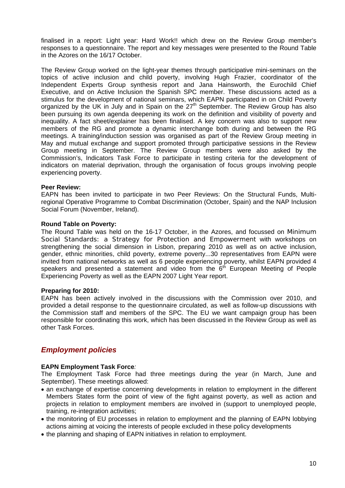finalised in a report: Light year: Hard Work!! which drew on the Review Group member's responses to a questionnaire. The report and key messages were presented to the Round Table in the Azores on the 16/17 October.

The Review Group worked on the light-year themes through participative mini-seminars on the topics of active inclusion and child poverty, involving Hugh Frazier, coordinator of the Independent Experts Group synthesis report and Jana Hainsworth, the Eurochild Chief Executive, and on Active Inclusion the Spanish SPC member. These discussions acted as a stimulus for the development of national seminars, which EAPN participated in on Child Poverty organized by the UK in July and in Spain on the  $27<sup>th</sup>$  September. The Review Group has also been pursuing its own agenda deepening its work on the definition and visibility of poverty and inequality. A fact sheet/explainer has been finalised. A key concern was also to support new members of the RG and promote a dynamic interchange both during and between the RG meetings. A training/induction session was organised as part of the Review Group meeting in May and mutual exchange and support promoted through participative sessions in the Review Group meeting in September. The Review Group members were also asked by the Commission's, Indicators Task Force to participate in testing criteria for the development of indicators on material deprivation, through the organisation of focus groups involving people experiencing poverty.

#### **Peer Review:**

EAPN has been invited to participate in two Peer Reviews: On the Structural Funds, Multiregional Operative Programme to Combat Discrimination (October, Spain) and the NAP Inclusion Social Forum (November, Ireland).

#### **Round Table on Poverty:**

The Round Table was held on the 16-17 October, in the Azores, and focussed on Minimum Social Standards: a Strategy for Protection and Empowerment with workshops on strengthening the social dimension in Lisbon, preparing 2010 as well as on active inclusion, gender, ethnic minorities, child poverty, extreme poverty...30 representatives from EAPN were invited from national networks as well as 6 people experiencing poverty, whilst EAPN provided 4 speakers and presented a statement and video from the  $6<sup>th</sup>$  European Meeting of People Experiencing Poverty as well as the EAPN 2007 Light Year report.

#### **Preparing for 2010:**

EAPN has been actively involved in the discussions with the Commission over 2010, and provided a detail response to the questionnaire circulated, as well as follow-up discussions with the Commission staff and members of the SPC. The EU we want campaign group has been responsible for coordinating this work, which has been discussed in the Review Group as well as other Task Forces.

## *Employment policies*

#### **EAPN Employment Task Force***:*

The Employment Task Force had three meetings during the year (in March, June and September). These meetings allowed:

- an exchange of expertise concerning developments in relation to employment in the different Members States form the point of view of the fight against poverty, as well as action and projects in relation to employment members are involved in (support to unemployed people, training, re-integration activities;
- the monitoring of EU processes in relation to employment and the planning of EAPN lobbying actions aiming at voicing the interests of people excluded in these policy developments
- the planning and shaping of EAPN initiatives in relation to employment.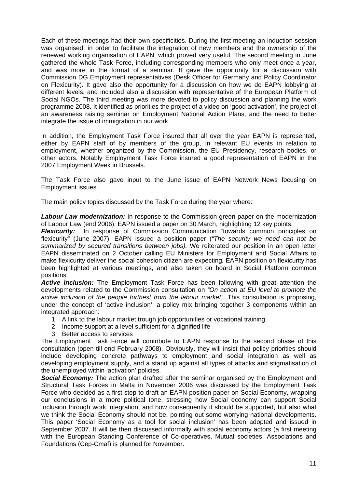Each of these meetings had their own specificities. During the first meeting an induction session was organised, in order to facilitate the integration of new members and the ownership of the renewed working organisation of EAPN, which proved very useful. The second meeting in June gathered the whole Task Force, including corresponding members who only meet once a year, and was more in the format of a seminar. It gave the opportunity for a discussion with Commission DG Employment representatives (Desk Officer for Germany and Policy Coordinator on Flexicurity). It gave also the opportunity for a discussion on how we do EAPN lobbying at different levels, and included also a discussion with representative of the European Platform of Social NGOs. The third meeting was more devoted to policy discussion and planning the work programme 2008. It identified as priorities the project of a video on 'good activation', the project of an awareness raising seminar on Employment National Action Plans, and the need to better integrate the issue of immigration in our work.

In addition, the Employment Task Force insured that all over the year EAPN is represented, either by EAPN staff of by members of the group, in relevant EU events in relation to employment, whether organized by the Commission, the EU Presidency, research bodies, or other actors. Notably Employment Task Force insured a good representation of EAPN in the 2007 Employment Week in Brussels.

The Task Force also gave input to the June issue of EAPN Network News focusing on Employment issues.

The main policy topics discussed by the Task Force during the year where:

**Labour Law modernization:** In response to the Commission green paper on the modernization of Labour Law (end 2006), EAPN issued a paper on 30 March, highlighting 12 key points.

*Flexicurity:* In response of Commission Communication "towards common principles on flexicurity" (June 2007), EAPN issued a position paper (*"The security we need can not be summarized by secured transitions between jobs).* We reiterated our position in an open letter EAPN disseminated on 2 October calling EU Ministers for Employment and Social Affairs to make flexicurity deliver the social cohesion citizen are expecting*.* EAPN position on flexicurity has been highlighted at various meetings, and also taken on board in Social Platform common positions.

*Active Inclusion:* The Employment Task Force has been following with great attention the developments related to the Commission consultation on *"On action at EU level to promote the*  active inclusion of the people furthest from the labour market". This consultation is proposing, under the concept of 'active inclusion', a policy mix bringing together 3 components within an integrated approach:

- 1. A link to the labour market trough job opportunities or vocational training
- 2. Income support at a level sufficient for a dignified life
- 3. Better access to services

The Employment Task Force will contribute to EAPN response to the second phase of this consultation (open till end February 2008). Obviously, they will insist that policy priorities should include developing concrete pathways to employment and social integration as well as developing employment supply, and a stand up against all types of attacks and stigmatisation of the unemployed within 'activation' policies.

**Social Economy:** The action plan drafted after the seminar organised by the Employment and Structural Task Forces in Malta in November 2006 was discussed by the Employment Task Force who decided as a first step to draft an EAPN position paper on Social Economy, wrapping our conclusions in a more political tone, stressing how Social economy can support Social Inclusion through work integration, and how consequently it should be supported, but also what we think the Social Economy should not be, pointing out some worrying national developments. This paper 'Social Economy as a tool for social inclusion' has been adopted and issued in September 2007. It will be then discussed informally with social economy actors (a first meeting with the European Standing Conference of Co-operatives, Mutual societies, Associations and Foundations (Cep-Cmaf) is planned for November.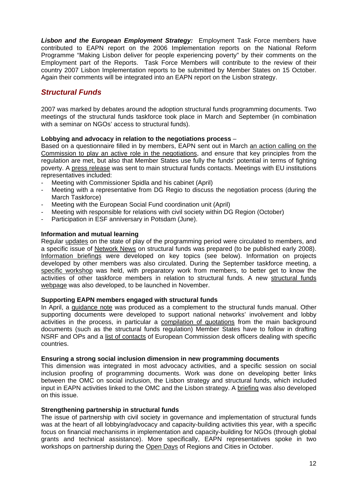*Lisbon and the European Employment Strategy:* Employment Task Force members have contributed to EAPN report on the 2006 Implementation reports on the National Reform Programme "Making Lisbon deliver for people experiencing poverty" by their comments on the Employment part of the Reports. Task Force Members will contribute to the review of their country 2007 Lisbon Implementation reports to be submitted by Member States on 15 October. Again their comments will be integrated into an EAPN report on the Lisbon strategy.

## *Structural Funds*

2007 was marked by debates around the adoption structural funds programming documents. Two meetings of the structural funds taskforce took place in March and September (in combination with a seminar on NGOs' access to structural funds).

#### **Lobbying and advocacy in relation to the negotiations process** –

Based on a questionnaire filled in by members, EAPN sent out in March an action calling on the Commission to play an active role in the negotiations, and ensure that key principles from the regulation are met, but also that Member States use fully the funds' potential in terms of fighting poverty. A press release was sent to main structural funds contacts. Meetings with EU institutions representatives included:

- Meeting with Commissioner Spidla and his cabinet (April)
- Meeting with a representative from DG Regio to discuss the negotiation process (during the March Taskforce)
- Meeting with the European Social Fund coordination unit (April)
- Meeting with responsible for relations with civil society within DG Region (October)
- Participation in ESF anniversary in Potsdam (June).

#### **Information and mutual learning**

Regular updates on the state of play of the programming period were circulated to members, and a specific issue of Network News on structural funds was prepared (to be published early 2008). Information briefings were developed on key topics (see below). Information on projects developed by other members was also circulated. During the September taskforce meeting, a specific workshop was held, with preparatory work from members, to better get to know the activities of other taskforce members in relation to structural funds. A new structural funds webpage was also developed, to be launched in November.

#### **Supporting EAPN members engaged with structural funds**

In April, a guidance note was produced as a complement to the structural funds manual. Other supporting documents were developed to support national networks' involvement and lobby activities in the process, in particular a compilation of quotations from the main background documents (such as the structural funds regulation) Member States have to follow in drafting NSRF and OPs and a list of contacts of European Commission desk officers dealing with specific countries.

#### **Ensuring a strong social inclusion dimension in new programming documents**

This dimension was integrated in most advocacy activities, and a specific session on social inclusion proofing of programming documents. Work was done on developing better links between the OMC on social inclusion, the Lisbon strategy and structural funds, which included input in EAPN activities linked to the OMC and the Lisbon strategy. A briefing was also developed on this issue.

#### **Strengthening partnership in structural funds**

The issue of partnership with civil society in governance and implementation of structural funds was at the heart of all lobbying/advocacy and capacity-building activities this year, with a specific focus on financial mechanisms in implementation and capacity-building for NGOs (through global grants and technical assistance). More specifically, EAPN representatives spoke in two workshops on partnership during the Open Days of Regions and Cities in October.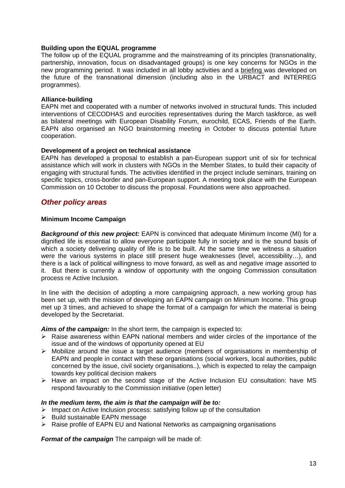#### **Building upon the EQUAL programme**

The follow up of the EQUAL programme and the mainstreaming of its principles (transnationality, partnership, innovation, focus on disadvantaged groups) is one key concerns for NGOs in the new programming period. It was included in all lobby activities and a briefing was developed on the future of the transnational dimension (including also in the URBACT and INTERREG programmes).

#### **Alliance-building**

EAPN met and cooperated with a number of networks involved in structural funds. This included interventions of CECODHAS and eurocities representatives during the March taskforce, as well as bilateral meetings with European Disability Forum, eurochild, ECAS, Friends of the Earth. EAPN also organised an NGO brainstorming meeting in October to discuss potential future cooperation.

#### **Development of a project on technical assistance**

EAPN has developed a proposal to establish a pan-European support unit of six for technical assistance which will work in clusters with NGOs in the Member States, to build their capacity of engaging with structural funds. The activities identified in the project include seminars, training on specific topics, cross-border and pan-European support. A meeting took place with the European Commission on 10 October to discuss the proposal. Foundations were also approached.

## *Other policy areas*

#### **Minimum Income Campaign**

*Background of this new project:* EAPN is convinced that adequate Minimum Income (MI) for a dignified life is essential to allow everyone participate fully in society and is the sound basis of which a society delivering quality of life is to be built. At the same time we witness a situation were the various systems in place still present huge weaknesses (level, accessibility…), and there is a lack of political willingness to move forward, as well as and negative image assorted to it. But there is currently a window of opportunity with the ongoing Commission consultation process re Active Inclusion.

In line with the decision of adopting a more campaigning approach, a new working group has been set up, with the mission of developing an EAPN campaign on Minimum Income. This group met up 3 times, and achieved to shape the format of a campaign for which the material is being developed by the Secretariat.

*Aims of the campaign:* In the short term, the campaign is expected to:

- $\triangleright$  Raise awareness within EAPN national members and wider circles of the importance of the issue and of the windows of opportunity opened at EU
- $\triangleright$  Mobilize around the issue a target audience (members of organisations in membership of EAPN and people in contact with these organisations (social workers, local authorities, public concerned by the issue, civil society organisations..), which is expected to relay the campaign towards key political decision makers
- $\triangleright$  Have an impact on the second stage of the Active Inclusion EU consultation: have MS respond favourably to the Commission initiative (open letter)

#### *In the medium term, the aim is that the campaign will be to:*

- $\triangleright$  Impact on Active Inclusion process: satisfying follow up of the consultation
- ¾ Build sustainable EAPN message
- $\triangleright$  Raise profile of EAPN EU and National Networks as campaigning organisations

*Format of the campaign* The campaign will be made of: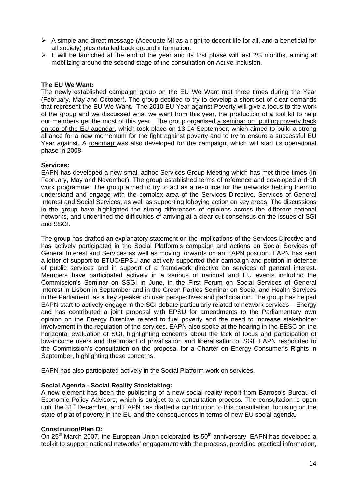- $\triangleright$  A simple and direct message (Adequate MI as a right to decent life for all, and a beneficial for all society) plus detailed back ground information.
- $\triangleright$  It will be launched at the end of the year and its first phase will last 2/3 months, aiming at mobilizing around the second stage of the consultation on Active Inclusion.

#### **The EU We Want:**

The newly established campaign group on the EU We Want met three times during the Year (February, May and October). The group decided to try to develop a short set of clear demands that represent the EU We Want. The 2010 EU Year against Poverty will give a focus to the work of the group and we discussed what we want from this year, the production of a tool kit to help our members get the most of this year. The group organised a seminar on "putting poverty back on top of the EU agenda", which took place on 13-14 September, which aimed to build a strong alliance for a new momentum for the fight against poverty and to try to ensure a successful EU Year against. A roadmap was also developed for the campaign, which will start its operational phase in 2008.

#### **Services:**

EAPN has developed a new small adhoc Services Group Meeting which has met three times (In February, May and November). The group established terms of reference and developed a draft work programme. The group aimed to try to act as a resource for the networks helping them to understand and engage with the complex area of the Services Directive, Services of General Interest and Social Services, as well as supporting lobbying action on key areas. The discussions in the group have highlighted the strong differences of opinions across the different national networks, and underlined the difficulties of arriving at a clear-cut consensus on the issues of SGI and SSGI.

The group has drafted an explanatory statement on the implications of the Services Directive and has actively participated in the Social Platform's campaign and actions on Social Services of General Interest and Services as well as moving forwards on an EAPN position. EAPN has sent a letter of support to ETUC/EPSU and actively supported their campaign and petition in defence of public services and in support of a framework directive on services of general interest. Members have participated actively in a serious of national and EU events including the Commission's Seminar on SSGI in June, in the First Forum on Social Services of General Interest in Lisbon in September and in the Green Parties Seminar on Social and Health Services in the Parliament, as a key speaker on user perspectives and participation. The group has helped EAPN start to actively engage in the SGI debate particularly related to network services – Energy and has contributed a joint proposal with EPSU for amendments to the Parliamentary own opinion on the Energy Directive related to fuel poverty and the need to increase stakeholder involvement in the regulation of the services. EAPN also spoke at the hearing in the EESC on the horizontal evaluation of SGI, highlighting concerns about the lack of focus and participation of low-income users and the impact of privatisation and liberalisation of SGI. EAPN responded to the Commission's consultation on the proposal for a Charter on Energy Consumer's Rights in September, highlighting these concerns.

EAPN has also participated actively in the Social Platform work on services.

#### **Social Agenda - Social Reality Stocktaking:**

A new element has been the publishing of a new social reality report from Barroso's Bureau of Economic Policy Advisors, which is subject to a consultation process. The consultation is open until the 31<sup>st</sup> December, and EAPN has drafted a contribution to this consultation, focusing on the state of plat of poverty in the EU and the consequences in terms of new EU social agenda.

#### **Constitution/Plan D:**

On 25<sup>th</sup> March 2007, the European Union celebrated its  $50<sup>th</sup>$  anniversary. EAPN has developed a toolkit to support national networks' engagement with the process, providing practical information,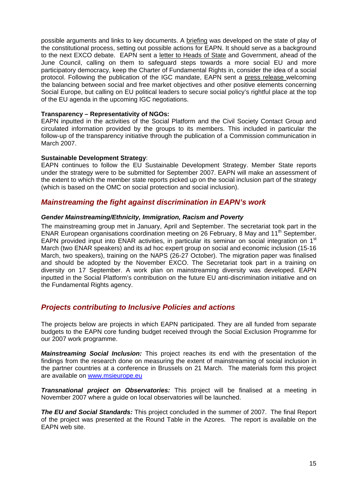possible arguments and links to key documents. A briefing was developed on the state of play of the constitutional process, setting out possible actions for EAPN. It should serve as a background to the next EXCO debate. EAPN sent a letter to Heads of State and Government, ahead of the June Council, calling on them to safeguard steps towards a more social EU and more participatory democracy, keep the Charter of Fundamental Rights in, consider the idea of a social protocol. Following the publication of the IGC mandate, EAPN sent a press release welcoming the balancing between social and free market objectives and other positive elements concerning Social Europe, but calling on EU political leaders to secure social policy's rightful place at the top of the EU agenda in the upcoming IGC negotiations.

#### **Transparency – Representativity of NGOs:**

EAPN inputted in the activities of the Social Platform and the Civil Society Contact Group and circulated information provided by the groups to its members. This included in particular the follow-up of the transparency initiative through the publication of a Commission communication in March 2007.

#### **Sustainable Development Strategy**:

EAPN continues to follow the EU Sustainable Development Strategy. Member State reports under the strategy were to be submitted for September 2007. EAPN will make an assessment of the extent to which the member state reports picked up on the social inclusion part of the strategy (which is based on the OMC on social protection and social inclusion).

## *Mainstreaming the fight against discrimination in EAPN's work*

#### *Gender Mainstreaming/Ethnicity, Immigration, Racism and Poverty*

The mainstreaming group met in January, April and September. The secretariat took part in the ENAR European organisations coordination meeting on 26 February, 8 May and 11<sup>th</sup> September. EAPN provided input into ENAR activities, in particular its seminar on social integration on 1<sup>st</sup> March (two ENAR speakers) and its ad hoc expert group on social and economic inclusion (15-16 March, two speakers), training on the NAPS (26-27 October). The migration paper was finalised and should be adopted by the November EXCO. The Secretariat took part in a training on diversity on 17 September. A work plan on mainstreaming diversity was developed. EAPN inputted in the Social Platform's contribution on the future EU anti-discrimination initiative and on the Fundamental Rights agency.

## *Projects contributing to Inclusive Policies and actions*

The projects below are projects in which EAPN participated. They are all funded from separate budgets to the EAPN core funding budget received through the Social Exclusion Programme for our 2007 work programme.

*Mainstreaming Social Inclusion:* This project reaches its end with the presentation of the findings from the research done on measuring the extent of mainstreaming of social inclusion in the partner countries at a conference in Brussels on 21 March. The materials form this project are available on www.msieurope.eu

*Transnational project on Observatories:* This project will be finalised at a meeting in November 2007 where a guide on local observatories will be launched.

*The EU and Social Standards:* This project concluded in the summer of 2007. The final Report of the project was presented at the Round Table in the Azores. The report is available on the EAPN web site.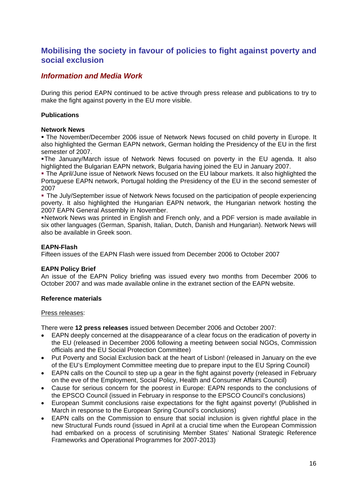## **Mobilising the society in favour of policies to fight against poverty and social exclusion**

## *Information and Media Work*

During this period EAPN continued to be active through press release and publications to try to make the fight against poverty in the EU more visible.

### **Publications**

#### **Network News**

 The November/December 2006 issue of Network News focused on child poverty in Europe. It also highlighted the German EAPN network, German holding the Presidency of the EU in the first semester of 2007.

 The January/March issue of Network News focused on poverty in the EU agenda. It also highlighted the Bulgarian EAPN network, Bulgaria having joined the EU in January 2007.

 The April/June issue of Network News focused on the EU labour markets. It also highlighted the Portuguese EAPN network, Portugal holding the Presidency of the EU in the second semester of 2007

 The July/September issue of Network News focused on the participation of people experiencing poverty. It also highlighted the Hungarian EAPN network, the Hungarian network hosting the 2007 EAPN General Assembly in November.

 Network News was printed in English and French only, and a PDF version is made available in six other languages (German, Spanish, Italian, Dutch, Danish and Hungarian). Network News will also be available in Greek soon.

#### **EAPN-Flash**

Fifteen issues of the EAPN Flash were issued from December 2006 to October 2007

#### **EAPN Policy Brief**

An issue of the EAPN Policy briefing was issued every two months from December 2006 to October 2007 and was made available online in the extranet section of the EAPN website.

#### **Reference materials**

#### Press releases:

There were **12 press releases** issued between December 2006 and October 2007:

- EAPN deeply concerned at the disappearance of a clear focus on the eradication of poverty in the EU (released in December 2006 following a meeting between social NGOs, Commission officials and the EU Social Protection Committee)
- Put Poverty and Social Exclusion back at the heart of Lisbon! (released in January on the eve of the EU's Employment Committee meeting due to prepare input to the EU Spring Council)
- EAPN calls on the Council to step up a gear in the fight against poverty (released in February on the eve of the Employment, Social Policy, Health and Consumer Affairs Council)
- Cause for serious concern for the poorest in Europe: EAPN responds to the conclusions of the EPSCO Council (issued in February in response to the EPSCO Council's conclusions)
- European Summit conclusions raise expectations for the fight against poverty! (Published in March in response to the European Spring Council's conclusions)
- EAPN calls on the Commission to ensure that social inclusion is given rightful place in the new Structural Funds round (issued in April at a crucial time when the European Commission had embarked on a process of scrutinising Member States' National Strategic Reference Frameworks and Operational Programmes for 2007-2013)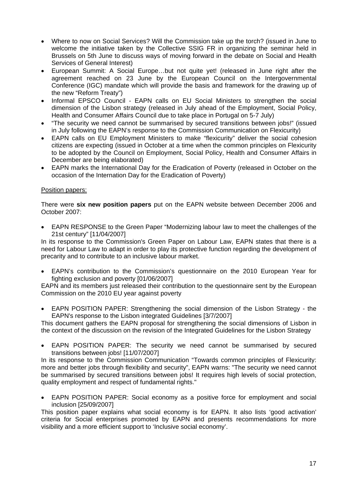- Where to now on Social Services? Will the Commission take up the torch? (issued in June to welcome the initiative taken by the Collective SSIG FR in organizing the seminar held in Brussels on 5th June to discuss ways of moving forward in the debate on Social and Health Services of General Interest)
- European Summit: A Social Europe…but not quite yet! (released in June right after the agreement reached on 23 June by the European Council on the Intergovernmental Conference (IGC) mandate which will provide the basis and framework for the drawing up of the new "Reform Treaty")
- Informal EPSCO Council EAPN calls on EU Social Ministers to strengthen the social dimension of the Lisbon strategy (released in July ahead of the Employment, Social Policy, Health and Consumer Affairs Council due to take place in Portugal on 5-7 July)
- "The security we need cannot be summarised by secured transitions between jobs!" (issued in July following the EAPN's response to the Commission Communication on Flexicurity)
- EAPN calls on EU Employment Ministers to make "flexicurity" deliver the social cohesion citizens are expecting (issued in October at a time when the common principles on Flexicurity to be adopted by the Council on Employment, Social Policy, Health and Consumer Affairs in December are being elaborated)
- EAPN marks the International Day for the Eradication of Poverty (released in October on the occasion of the Internation Day for the Eradication of Poverty)

### Position papers:

There were **six new position papers** put on the EAPN website between December 2006 and October 2007:

• EAPN RESPONSE to the Green Paper "Modernizing labour law to meet the challenges of the 21st century" [11/04/2007]

In its response to the Commission's Green Paper on Labour Law, EAPN states that there is a need for Labour Law to adapt in order to play its protective function regarding the development of precarity and to contribute to an inclusive labour market.

• EAPN's contribution to the Commission's questionnaire on the 2010 European Year for fighting exclusion and poverty [01/06/2007]

EAPN and its members just released their contribution to the questionnaire sent by the European Commission on the 2010 EU year against poverty

• EAPN POSITION PAPER: Strengthening the social dimension of the Lisbon Strategy - the EAPN's response to the Lisbon integrated Guidelines [3/7/2007]

This document gathers the EAPN proposal for strengthening the social dimensions of Lisbon in the context of the discussion on the revision of the Integrated Guidelines for the Lisbon Strategy

• EAPN POSITION PAPER: The security we need cannot be summarised by secured transitions between jobs! [11/07/2007]

In its response to the Commission Communication "Towards common principles of Flexicurity: more and better jobs through flexibility and security", EAPN warns: "The security we need cannot be summarised by secured transitions between jobs! It requires high levels of social protection, quality employment and respect of fundamental rights."

• EAPN POSITION PAPER: Social economy as a positive force for employment and social inclusion [25/09/2007]

This position paper explains what social economy is for EAPN. It also lists 'good activation' criteria for Social enterprises promoted by EAPN and presents recommendations for more visibility and a more efficient support to 'Inclusive social economy'.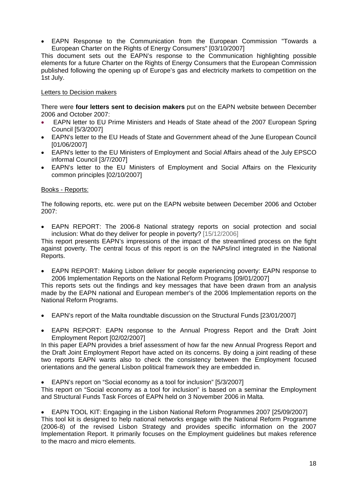• EAPN Response to the Communication from the European Commission "Towards a European Charter on the Rights of Energy Consumers" [03/10/2007]

This document sets out the EAPN's response to the Communication highlighting possible elements for a future Charter on the Rights of Energy Consumers that the European Commission published following the opening up of Europe's gas and electricity markets to competition on the 1st July.

#### Letters to Decision makers

There were **four letters sent to decision makers** put on the EAPN website between December 2006 and October 2007:

- EAPN letter to EU Prime Ministers and Heads of State ahead of the 2007 European Spring Council [5/3/2007]
- EAPN's letter to the EU Heads of State and Government ahead of the June European Council [01/06/2007]
- EAPN's letter to the EU Ministers of Employment and Social Affairs ahead of the July EPSCO informal Council [3/7/2007]
- EAPN's letter to the EU Ministers of Employment and Social Affairs on the Flexicurity common principles [02/10/2007]

#### Books - Reports:

The following reports, etc. were put on the EAPN website between December 2006 and October 2007:

• EAPN REPORT: The 2006-8 National strategy reports on social protection and social inclusion: What do they deliver for people in poverty? [15/12/2006]

This report presents EAPN's impressions of the impact of the streamlined process on the fight against poverty. The central focus of this report is on the NAPs/incl integrated in the National Reports.

• EAPN REPORT: Making Lisbon deliver for people experiencing poverty: EAPN response to 2006 Implementation Reports on the National Reform Programs [09/01/2007]

This reports sets out the findings and key messages that have been drawn from an analysis made by the EAPN national and European member's of the 2006 Implementation reports on the National Reform Programs.

- EAPN's report of the Malta roundtable discussion on the Structural Funds [23/01/2007]
- EAPN REPORT: EAPN response to the Annual Progress Report and the Draft Joint Employment Report [02/02/2007]

In this paper EAPN provides a brief assessment of how far the new Annual Progress Report and the Draft Joint Employment Report have acted on its concerns. By doing a joint reading of these two reports EAPN wants also to check the consistency between the Employment focused orientations and the general Lisbon political framework they are embedded in.

• EAPN's report on "Social economy as a tool for inclusion" [5/3/2007]

This report on "Social economy as a tool for inclusion" is based on a seminar the Employment and Structural Funds Task Forces of EAPN held on 3 November 2006 in Malta.

• EAPN TOOL KIT: Engaging in the Lisbon National Reform Programmes 2007 [25/09/2007] This tool kit is designed to help national networks engage with the National Reform Programme (2006-8) of the revised Lisbon Strategy and provides specific information on the 2007 Implementation Report. It primarily focuses on the Employment guidelines but makes reference to the macro and micro elements.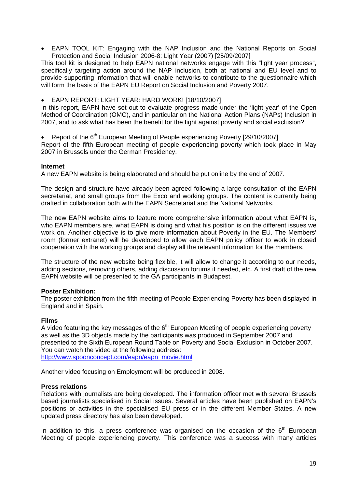• EAPN TOOL KIT: Engaging with the NAP Inclusion and the National Reports on Social Protection and Social Inclusion 2006-8: Light Year (2007) [25/09/2007]

This tool kit is designed to help EAPN national networks engage with this "light year process", specifically targeting action around the NAP inclusion, both at national and EU level and to provide supporting information that will enable networks to contribute to the questionnaire which will form the basis of the EAPN EU Report on Social Inclusion and Poverty 2007.

• EAPN REPORT: LIGHT YEAR: HARD WORK! [18/10/2007]

In this report, EAPN have set out to evaluate progress made under the 'light year' of the Open Method of Coordination (OMC), and in particular on the National Action Plans (NAPs) Inclusion in 2007, and to ask what has been the benefit for the fight against poverty and social exclusion?

Report of the 6<sup>th</sup> European Meeting of People experiencing Poverty [29/10/2007]

Report of the fifth European meeting of people experiencing poverty which took place in May 2007 in Brussels under the German Presidency.

#### **Internet**

A new EAPN website is being elaborated and should be put online by the end of 2007.

The design and structure have already been agreed following a large consultation of the EAPN secretariat, and small groups from the Exco and working groups. The content is currently being drafted in collaboration both with the EAPN Secretariat and the National Networks.

The new EAPN website aims to feature more comprehensive information about what EAPN is, who EAPN members are, what EAPN is doing and what his position is on the different issues we work on. Another objective is to give more information about Poverty in the EU. The Members' room (former extranet) will be developed to allow each EAPN policy officer to work in closed cooperation with the working groups and display all the relevant information for the members.

The structure of the new website being flexible, it will allow to change it according to our needs, adding sections, removing others, adding discussion forums if needed, etc. A first draft of the new EAPN website will be presented to the GA participants in Budapest.

#### **Poster Exhibition:**

The poster exhibition from the fifth meeting of People Experiencing Poverty has been displayed in England and in Spain.

#### **Films**

A video featuring the key messages of the  $6<sup>th</sup>$  European Meeting of people experiencing poverty as well as the 3D objects made by the participants was produced in September 2007 and presented to the Sixth European Round Table on Poverty and Social Exclusion in October 2007. You can watch the video at the following address: http://www.spoonconcept.com/eapn/eapn\_movie.html

Another video focusing on Employment will be produced in 2008.

#### **Press relations**

Relations with journalists are being developed. The information officer met with several Brussels based journalists specialised in Social issues. Several articles have been published on EAPN's positions or activities in the specialised EU press or in the different Member States. A new updated press directory has also been developed.

In addition to this, a press conference was organised on the occasion of the  $6<sup>th</sup>$  European Meeting of people experiencing poverty. This conference was a success with many articles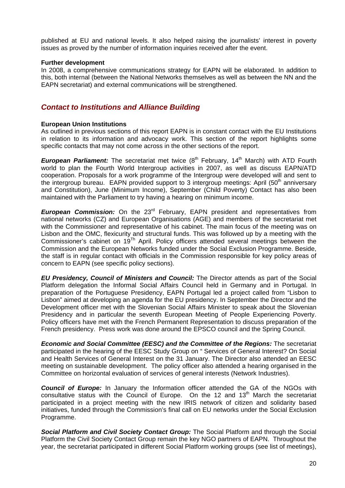published at EU and national levels. It also helped raising the journalists' interest in poverty issues as proved by the number of information inquiries received after the event.

#### **Further development**

In 2008, a comprehensive communications strategy for EAPN will be elaborated. In addition to this, both internal (between the National Networks themselves as well as between the NN and the EAPN secretariat) and external communications will be strengthened.

## *Contact to Institutions and Alliance Building*

#### **European Union Institutions**

As outlined in previous sections of this report EAPN is in constant contact with the EU Institutions in relation to its information and advocacy work. This section of the report highlights some specific contacts that may not come across in the other sections of the report.

**European Parliament:** The secretariat met twice (8<sup>th</sup> February, 14<sup>th</sup> March) with ATD Fourth world to plan the Fourth World Intergroup activities in 2007, as well as discuss EAPN/ATD cooperation. Proposals for a work programme of the Intergroup were developed will and sent to the intergroup bureau. EAPN provided support to 3 intergroup meetings: April  $(50<sup>th</sup>$  anniversary and Constitution), June (Minimum Income), September (Child Poverty) Contact has also been maintained with the Parliament to try having a hearing on minimum income.

**European Commission:** On the 23<sup>rd</sup> February, EAPN president and representatives from national networks (CZ) and European Organisations (AGE) and members of the secretariat met with the Commissioner and representative of his cabinet. The main focus of the meeting was on Lisbon and the OMC, flexicurity and structural funds. This was followed up by a meeting with the Commissioner's cabinet on 19Th April. Policy officers attended several meetings between the Commission and the European Networks funded under the Social Exclusion Programme. Beside, the staff is in regular contact with officials in the Commission responsible for key policy areas of concern to EAPN (see specific policy sections).

*EU Presidency, Council of Ministers and Council:* **The Director attends as part of the Social** Platform delegation the Informal Social Affairs Council held in Germany and in Portugal. In preparation of the Portuguese Presidency, EAPN Portugal led a project called from "Lisbon to Lisbon" aimed at developing an agenda for the EU presidency. In September the Director and the Development officer met with the Slovenian Social Affairs Minister to speak about the Slovenian Presidency and in particular the seventh European Meeting of People Experiencing Poverty. Policy officers have met with the French Permanent Representation to discuss preparation of the French presidency. Press work was done around the EPSCO council and the Spring Council.

*Economic and Social Committee (EESC) and the Committee of the Regions:* **The secretariat** participated in the hearing of the EESC Study Group on " Services of General Interest? On Social and Health Services of General Interest on the 31 January. The Director also attended an EESC meeting on sustainable development. The policy officer also attended a hearing organised in the Committee on horizontal evaluation of services of general interests (Network Industries).

**Council of Europe:** In January the Information officer attended the GA of the NGOs with consultative status with the Council of Europe. On the 12 and 13<sup>th</sup> March the secretariat participated in a project meeting with the new IRIS network of citizen and solidarity based initiatives, funded through the Commission's final call on EU networks under the Social Exclusion Programme.

**Social Platform and Civil Society Contact Group:** The Social Platform and through the Social Platform the Civil Society Contact Group remain the key NGO partners of EAPN. Throughout the year, the secretariat participated in different Social Platform working groups (see list of meetings),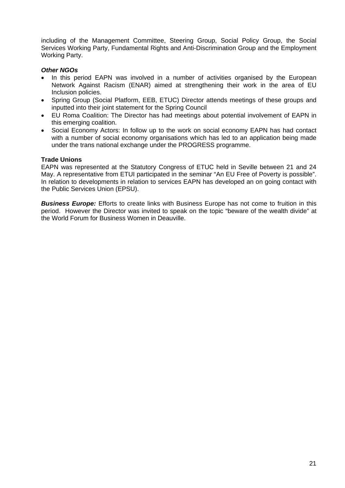including of the Management Committee, Steering Group, Social Policy Group, the Social Services Working Party, Fundamental Rights and Anti-Discrimination Group and the Employment Working Party.

#### *Other NGOs*

- In this period EAPN was involved in a number of activities organised by the European Network Against Racism (ENAR) aimed at strengthening their work in the area of EU Inclusion policies.
- Spring Group (Social Platform, EEB, ETUC) Director attends meetings of these groups and inputted into their joint statement for the Spring Council
- EU Roma Coalition: The Director has had meetings about potential involvement of EAPN in this emerging coalition.
- Social Economy Actors: In follow up to the work on social economy EAPN has had contact with a number of social economy organisations which has led to an application being made under the trans national exchange under the PROGRESS programme.

### **Trade Unions**

EAPN was represented at the Statutory Congress of ETUC held in Seville between 21 and 24 May. A representative from ETUI participated in the seminar "An EU Free of Poverty is possible". In relation to developments in relation to services EAPN has developed an on going contact with the Public Services Union (EPSU).

**Business Europe:** Efforts to create links with Business Europe has not come to fruition in this period. However the Director was invited to speak on the topic "beware of the wealth divide" at the World Forum for Business Women in Deauville.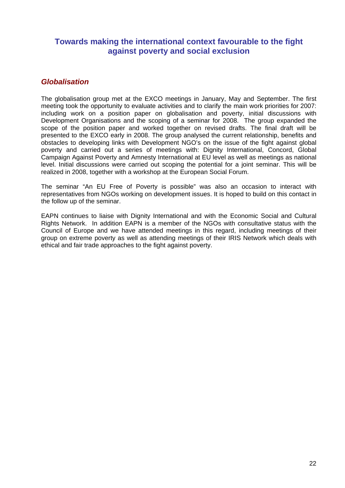## **Towards making the international context favourable to the fight against poverty and social exclusion**

## *Globalisation*

The globalisation group met at the EXCO meetings in January, May and September. The first meeting took the opportunity to evaluate activities and to clarify the main work priorities for 2007: including work on a position paper on globalisation and poverty, initial discussions with Development Organisations and the scoping of a seminar for 2008. The group expanded the scope of the position paper and worked together on revised drafts. The final draft will be presented to the EXCO early in 2008. The group analysed the current relationship, benefits and obstacles to developing links with Development NGO's on the issue of the fight against global poverty and carried out a series of meetings with: Dignity International, Concord, Global Campaign Against Poverty and Amnesty International at EU level as well as meetings as national level. Initial discussions were carried out scoping the potential for a joint seminar. This will be realized in 2008, together with a workshop at the European Social Forum.

The seminar "An EU Free of Poverty is possible" was also an occasion to interact with representatives from NGOs working on development issues. It is hoped to build on this contact in the follow up of the seminar.

EAPN continues to liaise with Dignity International and with the Economic Social and Cultural Rights Network. In addition EAPN is a member of the NGOs with consultative status with the Council of Europe and we have attended meetings in this regard, including meetings of their group on extreme poverty as well as attending meetings of their IRIS Network which deals with ethical and fair trade approaches to the fight against poverty.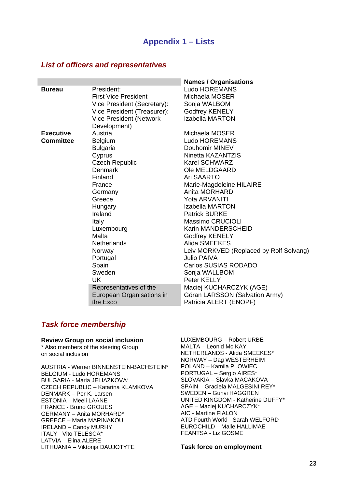## **Appendix 1 – Lists**

#### *List of officers and representatives*

|                  |                             | <b>Names / Organisations</b>            |
|------------------|-----------------------------|-----------------------------------------|
| <b>Bureau</b>    | President:                  | <b>Ludo HOREMANS</b>                    |
|                  | <b>First Vice President</b> | Michaela MOSER                          |
|                  | Vice President (Secretary): | Sonja WALBOM                            |
|                  | Vice President (Treasurer): | <b>Godfrey KENELY</b>                   |
|                  | Vice President (Network     | <b>Izabella MARTON</b>                  |
|                  | Development)                |                                         |
| <b>Executive</b> | Austria                     | Michaela MOSER                          |
| <b>Committee</b> | <b>Belgium</b>              | <b>Ludo HOREMANS</b>                    |
|                  | <b>Bulgaria</b>             | Douhomir MINEV                          |
|                  | Cyprus                      | Ninetta KAZANTZIS                       |
|                  | <b>Czech Republic</b>       | <b>Karel SCHWARZ</b>                    |
|                  | Denmark                     | Ole MELDGAARD                           |
|                  | Finland                     | Ari SAARTO                              |
|                  | France                      | Marie-Magdeleine HILAIRE                |
|                  | Germany                     | Anita MORHARD                           |
|                  | Greece                      | Yota ARVANITI                           |
|                  | Hungary                     | <b>Izabella MARTON</b>                  |
|                  | Ireland                     | <b>Patrick BURKE</b>                    |
|                  | <b>Italy</b>                | Massimo CRUCIOLI                        |
|                  | Luxembourg                  | Karin MANDERSCHEID                      |
|                  | Malta                       | <b>Godfrey KENELY</b>                   |
|                  | <b>Netherlands</b>          | Alida SMEEKES                           |
|                  | Norway                      | Leiv MORKVED (Replaced by Rolf Solvang) |
|                  | Portugal                    | <b>Julio PAIVA</b>                      |
|                  | Spain                       | Carlos SUSIAS RODADO                    |
|                  | Sweden                      | Sonja WALLBOM                           |
|                  | <b>UK</b>                   | Peter KELLY                             |
|                  | Representatives of the      | Maciej KUCHARCZYK (AGE)                 |
|                  | European Organisations in   | Göran LARSSON (Salvation Army)          |
|                  | the Exco                    | Patricia ALERT (ENOPF)                  |

## *Task force membership*

#### **Review Group on social inclusion**

\* Also members of the steering Group on social inclusion

AUSTRIA - Werner BINNENSTEIN-BACHSTEIN\* BELGIUM - Ludo HOREMANS BULGARIA - Maria JELIAZKOVA\* CZECH REPUBLIC – Katarina KLAMKOVA DENMARK – Per K. Larsen ESTONIA – Meeli LAANE FRANCE - Bruno GROUES GERMANY – Anita MORHARD\* GREECE – Maria MARINAKOU IRELAND – Candy MURHY ITALY - Vito TELESCA\* LATVIA – Elina ALERE LITHUANIA – Viktorija DAUJOTYTE

LUXEMBOURG – Robert URBE MALTA – Leonid Mc KAY NETHERLANDS - Alida SMEEKES\* NORWAY – Dag WESTERHEIM POLAND – Kamila PLOWIEC PORTUGAL – Sergio AIRES\* SLOVAKIA – Slavka MACAKOVA SPAIN – Graciela MALGESINI REY\* SWEDEN – Gunvi HAGGREN UNITED KINGDOM - Katherine DUFFY\* AGE – Maciej KUCHARCZYK\* AIC - Martine FIALON ATD Fourth World - Sarah WELFORD EUROCHILD – Malle HALLIMAE FEANTSA - Liz GOSME

**Task force on employment**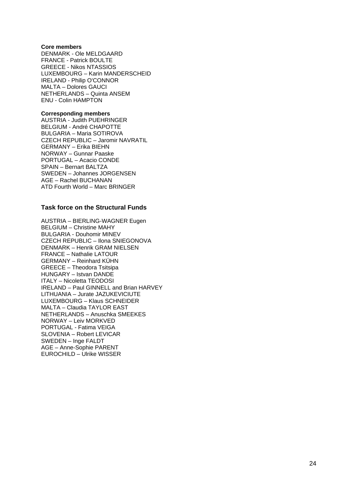#### **Core members**

DENMARK - Ole MELDGAARD FRANCE - Patrick BOULTE GREECE - Nikos NTASSIOS LUXEMBOURG – Karin MANDERSCHEID IRELAND - Philip O'CONNOR MALTA – Dolores GAUCI NETHERLANDS – Quinta ANSEM ENU - Colin HAMPTON

#### **Corresponding members**

AUSTRIA - Judith PUEHRINGER BELGIUM - André CHAPOTTE BULGARIA – Maria SOTIROVA CZECH REPUBLIC – Jaromir NAVRATIL GERMANY – Erika BIEHN NORWAY – Gunnar Paaske PORTUGAL – Acacio CONDE SPAIN – Bernart BALTZA SWEDEN – Johannes JORGENSEN AGE – Rachel BUCHANAN ATD Fourth World – Marc BRINGER

#### **Task force on the Structural Funds**

AUSTRIA – BIERLING-WAGNER Eugen BELGIUM – Christine MAHY BULGARIA - Douhomir MINEV CZECH REPUBLIC – Ilona SNIEGONOVA DENMARK – Henrik GRAM NIELSEN FRANCE – Nathalie LATOUR GERMANY – Reinhard KÜHN GREECE – Theodora Tsitsipa HUNGARY – Istvan DANDE ITALY – Nicoletta TEODOSI IRELAND – Paul GINNELL and Brian HARVEY LITHUANIA – Jurate JAZUKEVICIUTE LUXEMBOURG – Klaus SCHNEIDER MALTA – Claudia TAYLOR EAST NETHERLANDS – Anuschka SMEEKES NORWAY – Leiv MORKVED PORTUGAL - Fatima VEIGA SLOVENIA – Robert LEVICAR SWEDEN – Inge FALDT AGE – Anne-Sophie PARENT EUROCHILD – Ulrike WISSER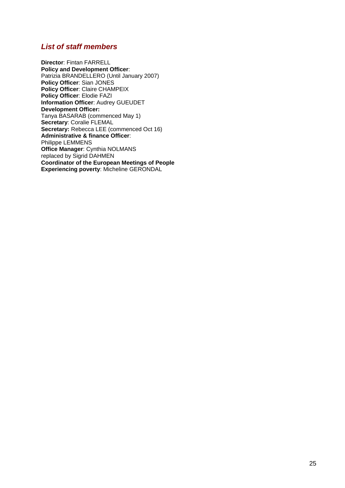## *List of staff members*

**Director**: Fintan FARRELL **Policy and Development Officer**: Patrizia BRANDELLERO (Until January 2007) **Policy Officer: Sian JONES Policy Officer**: Claire CHAMPEIX **Policy Officer**: Elodie FAZI **Information Officer**: Audrey GUEUDET **Development Officer:**  Tanya BASARAB (commenced May 1) **Secretary**: Coralie FLEMAL Secretary: Rebecca LEE (commenced Oct 16) **Administrative & finance Officer**: Philippe LEMMENS **Office Manager**: Cynthia NOLMANS replaced by Sigrid DAHMEN **Coordinator of the European Meetings of People Experiencing poverty**: Micheline GERONDAL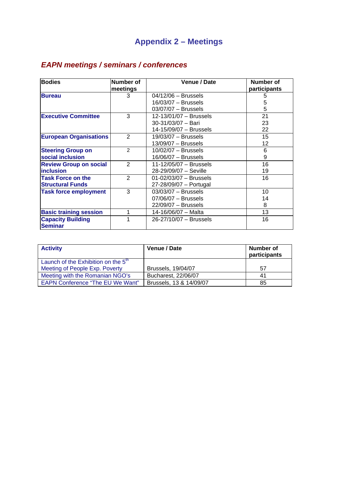# **Appendix 2 – Meetings**

| <b>EAPN meetings / seminars / conferences</b> |
|-----------------------------------------------|
|-----------------------------------------------|

| <b>Bodies</b>                 | Number of     | Venue / Date               | Number of    |
|-------------------------------|---------------|----------------------------|--------------|
|                               | meetings      |                            | participants |
| <b>Bureau</b>                 | 3             | $04/12/06 - Brussels$      | 5            |
|                               |               | 16/03/07 - Brussels        | 5            |
|                               |               | $03/07/07 - Brussels$      | 5            |
| <b>Executive Committee</b>    | 3             | 12-13/01/07 - Brussels     | 21           |
|                               |               | $30-31/03/07 -$ Bari       | 23           |
|                               |               | 14-15/09/07 - Brussels     | 22           |
| <b>European Organisations</b> | 2             | $19/03/07 - Brussels$      | 15           |
|                               |               | $13/09/07 - Brussels$      | 12           |
| <b>Steering Group on</b>      | $\mathcal{P}$ | $10/02/07 - Brussels$      | 6            |
| social inclusion              |               | $16/06/07 - Brussels$      | 9            |
| <b>Review Group on social</b> | 2             | 11-12/05/07 - Brussels     | 16           |
| <b>linclusion</b>             |               | 28-29/09/07 - Seville      | 19           |
| <b>Task Force on the</b>      | $\mathcal{P}$ | $01 - 02/03/07 - Brussels$ | 16           |
| <b>Structural Funds</b>       |               | 27-28/09/07 - Portugal     |              |
| <b>Task force employment</b>  | 3             | $03/03/07 - Brussels$      | 10           |
|                               |               | $07/06/07 - Brussels$      | 14           |
|                               |               | $22/09/07 - Brussels$      | 8            |
| <b>Basic training session</b> | 1             | 14-16/06/07 - Malta        | 13           |
| <b>Capacity Building</b>      | 1             | 26-27/10/07 - Brussels     | 16           |
| <b>Seminar</b>                |               |                            |              |

| <b>Activity</b>                         | Venue / Date            | Number of<br>participants |
|-----------------------------------------|-------------------------|---------------------------|
| Launch of the Exhibition on the $5th$   |                         |                           |
| Meeting of People Exp. Poverty          | Brussels, 19/04/07      | 57                        |
| Meeting with the Romanian NGO's         | Bucharest, 22/06/07     | 41                        |
| <b>EAPN Conference "The EU We Want"</b> | Brussels, 13 & 14/09/07 | 85                        |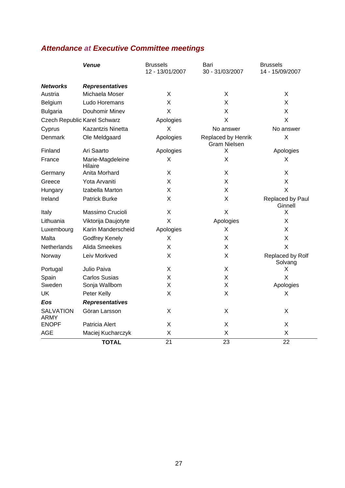# *Attendance at Executive Committee meetings*

|                                 | <b>Venue</b>                 | <b>Brussels</b><br>12 - 13/01/2007 | Bari<br>30 - 31/03/2007                   | <b>Brussels</b><br>14 - 15/09/2007 |
|---------------------------------|------------------------------|------------------------------------|-------------------------------------------|------------------------------------|
| <b>Networks</b>                 | <b>Representatives</b>       |                                    |                                           |                                    |
| Austria                         | Michaela Moser               | X                                  | X                                         | X                                  |
| Belgium                         | Ludo Horemans                | Χ                                  | Χ                                         | X                                  |
| <b>Bulgaria</b>                 | Douhomir Minev               | X                                  | Χ                                         | X                                  |
|                                 | Czech Republic Karel Schwarz | Apologies                          | Χ                                         | X                                  |
| Cyprus                          | Kazantzis Ninetta            | X                                  | No answer                                 | No answer                          |
| Denmark                         | Ole Meldgaard                | Apologies                          | Replaced by Henrik<br><b>Gram Nielsen</b> | Χ                                  |
| Finland                         | Ari Saarto                   | Apologies                          | X                                         | Apologies                          |
| France                          | Marie-Magdeleine<br>Hilaire  | X                                  | X                                         | X                                  |
| Germany                         | Anita Morhard                | X                                  | X                                         | X                                  |
| Greece                          | Yota Arvaniti                | Χ                                  | Χ                                         | X                                  |
| Hungary                         | Izabella Marton              | X                                  | Χ                                         | X                                  |
| Ireland                         | <b>Patrick Burke</b>         | X                                  | X                                         | Replaced by Paul<br>Ginnell        |
| Italy                           | Massimo Crucioli             | X                                  | X                                         | X                                  |
| Lithuania                       | Viktorija Daujotyte          | X                                  | Apologies                                 | X                                  |
| Luxembourg                      | Karin Manderscheid           | Apologies                          | Χ                                         | Χ                                  |
| Malta                           | Godfrey Kenely               | X                                  | Χ                                         | Χ                                  |
| Netherlands                     | Alida Smeekes                | X                                  | Χ                                         | X                                  |
| Norway                          | Leiv Morkved                 | Χ                                  | Χ                                         | Replaced by Rolf<br>Solvang        |
| Portugal                        | Julio Paiva                  | X                                  | Χ                                         | X                                  |
| Spain                           | <b>Carlos Susias</b>         | X                                  | X                                         | X                                  |
| Sweden                          | Sonja Wallbom                | X                                  | Χ                                         | Apologies                          |
| UK                              | Peter Kelly                  | X                                  | X                                         | X                                  |
| Eos                             | <b>Representatives</b>       |                                    |                                           |                                    |
| <b>SALVATION</b><br><b>ARMY</b> | Göran Larsson                | X                                  | X                                         | X                                  |
| <b>ENOPF</b>                    | Patricia Alert               | X                                  | Χ                                         | X                                  |
| <b>AGE</b>                      | Maciej Kucharczyk            | X                                  | Χ                                         | Χ                                  |
|                                 | <b>TOTAL</b>                 | 21                                 | 23                                        | 22                                 |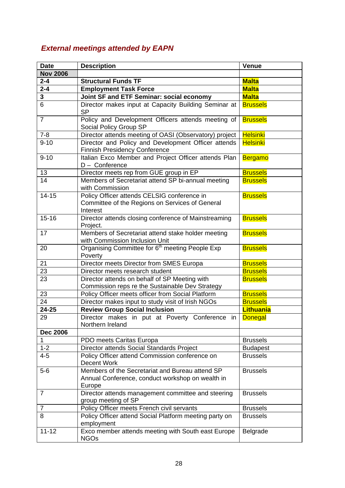# *External meetings attended by EAPN*

| <b>Date</b>     | <b>Description</b>                                                                                            | <b>Venue</b>     |
|-----------------|---------------------------------------------------------------------------------------------------------------|------------------|
| <b>Nov 2006</b> |                                                                                                               |                  |
| $2 - 4$         | <b>Structural Funds TF</b>                                                                                    | <b>Malta</b>     |
| $2 - 4$         | <b>Employment Task Force</b>                                                                                  | <b>Malta</b>     |
| 3               | Joint SF and ETF Seminar: social economy                                                                      | <b>Malta</b>     |
| 6               | Director makes input at Capacity Building Seminar at<br><b>SP</b>                                             | <b>Brussels</b>  |
| $\overline{7}$  | Policy and Development Officers attends meeting of<br>Social Policy Group SP                                  | <b>Brussels</b>  |
| $7 - 8$         | Director attends meeting of OASI (Observatory) project                                                        | <b>Helsinki</b>  |
| $9 - 10$        | Director and Policy and Development Officer attends<br><b>Finnish Presidency Conference</b>                   | <b>Helsinki</b>  |
| $9 - 10$        | Italian Exco Member and Project Officer attends Plan<br>$D -$ Conference                                      | <b>Bergamo</b>   |
| 13              | Director meets rep from GUE group in EP                                                                       | <b>Brussels</b>  |
| 14              | Members of Secretariat attend SP bi-annual meeting<br>with Commission                                         | <b>Brussels</b>  |
| $14 - 15$       | Policy Officer attends CELSIG conference in<br>Committee of the Regions on Services of General<br>Interest    | <b>Brussels</b>  |
| $15 - 16$       | Director attends closing conference of Mainstreaming<br>Project.                                              | <b>Brussels</b>  |
| 17              | Members of Secretariat attend stake holder meeting<br>with Commission Inclusion Unit                          | <b>Brussels</b>  |
| 20              | Organising Committee for 6 <sup>th</sup> meeting People Exp<br>Poverty                                        | <b>Brussels</b>  |
| 21              | Director meets Director from SMES Europa                                                                      | <b>Brussels</b>  |
| 23              | Director meets research student                                                                               | <b>Brussels</b>  |
| 23              | Director attends on behalf of SP Meeting with<br>Commission reps re the Sustainable Dev Strategy              | <b>Brussels</b>  |
| 23              | Policy Officer meets officer from Social Platform                                                             | <b>Brussels</b>  |
| 24              | Director makes input to study visit of Irish NGOs                                                             | <b>Brussels</b>  |
| $24 - 25$       | <b>Review Group Social Inclusion</b>                                                                          | <b>Lithuania</b> |
| 29              | Director makes in put at Poverty Conference<br>in.<br>Northern Ireland                                        | <b>Donegal</b>   |
| <b>Dec 2006</b> |                                                                                                               |                  |
| 1               | PDO meets Caritas Europa                                                                                      | <b>Brussels</b>  |
| $1 - 2$         | Director attends Social Standards Project                                                                     | <b>Budapest</b>  |
| $4 - 5$         | Policy Officer attend Commission conference on<br>Decent Work                                                 | <b>Brussels</b>  |
| $5-6$           | Members of the Secretariat and Bureau attend SP<br>Annual Conference, conduct workshop on wealth in<br>Europe | <b>Brussels</b>  |
| $\overline{7}$  | Director attends management committee and steering<br>group meeting of SP                                     | <b>Brussels</b>  |
| $\overline{7}$  | Policy Officer meets French civil servants                                                                    | <b>Brussels</b>  |
| 8               | Policy Officer attend Social Platform meeting party on<br>employment                                          | <b>Brussels</b>  |
| $11 - 12$       | Exco member attends meeting with South east Europe<br><b>NGOs</b>                                             | Belgrade         |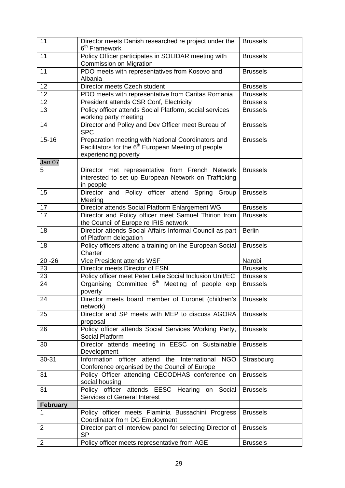| 11              | Director meets Danish researched re project under the<br>6 <sup>th</sup> Framework                                                  | <b>Brussels</b> |
|-----------------|-------------------------------------------------------------------------------------------------------------------------------------|-----------------|
| 11              | Policy Officer participates in SOLIDAR meeting with<br>Commission on Migration                                                      | <b>Brussels</b> |
| 11              | PDO meets with representatives from Kosovo and<br>Albania                                                                           | <b>Brussels</b> |
| 12              | Director meets Czech student                                                                                                        | <b>Brussels</b> |
| 12              | PDO meets with representative from Caritas Romania                                                                                  | <b>Brussels</b> |
| 12              | President attends CSR Conf, Electricity                                                                                             | <b>Brussels</b> |
| 13              | Policy officer attends Social Platform, social services<br>working party meeting                                                    | <b>Brussels</b> |
| 14              | Director and Policy and Dev Officer meet Bureau of<br><b>SPC</b>                                                                    | <b>Brussels</b> |
| $15 - 16$       | Preparation meeting with National Coordinators and<br>Facilitators for the $6th$ European Meeting of people<br>experiencing poverty | <b>Brussels</b> |
| Jan 07          |                                                                                                                                     |                 |
| 5               | Director met representative from French Network<br>interested to set up European Network on Trafficking<br>in people                | <b>Brussels</b> |
| 15              | Director and Policy officer attend Spring Group<br>Meeting                                                                          | <b>Brussels</b> |
| 17              | Director attends Social Platform Enlargement WG                                                                                     | <b>Brussels</b> |
| 17              | Director and Policy officer meet Samuel Thirion from<br>the Council of Europe re IRIS network                                       | <b>Brussels</b> |
| 18              | Director attends Social Affairs Informal Council as part<br>of Platform delegation                                                  | <b>Berlin</b>   |
| 18              | Policy officers attend a training on the European Social<br>Charter                                                                 | <b>Brussels</b> |
| $20 - 26$       | Vice President attends WSF                                                                                                          | Narobi          |
| 23              | Director meets Director of ESN                                                                                                      | <b>Brussels</b> |
| 23              | Policy officer meet Peter Lelie Social Inclusion Unit/EC                                                                            | <b>Brussels</b> |
| 24              | Organising Committee 6 <sup>th</sup> Meeting of people exp<br>poverty                                                               | <b>Brussels</b> |
| 24              | Director meets board member of Euronet (children's<br>network)                                                                      | <b>Brussels</b> |
| 25              | Director and SP meets with MEP to discuss AGORA<br>proposal                                                                         | <b>Brussels</b> |
| 26              | Policy officer attends Social Services Working Party,<br>Social Platform                                                            | <b>Brussels</b> |
| 30              | Director attends meeting in EESC on Sustainable<br>Development                                                                      | <b>Brussels</b> |
| 30-31           | <b>NGO</b><br>Information officer<br>attend<br>the<br>International<br>Conference organised by the Council of Europe                | Strasbourg      |
| 31              | Policy Officer attending CECODHAS conference on<br>social housing                                                                   | <b>Brussels</b> |
| 31              | Policy officer attends EESC Hearing on Social<br>Services of General Interest                                                       | <b>Brussels</b> |
| <b>February</b> |                                                                                                                                     |                 |
| 1               | Policy officer meets Flaminia Bussachini Progress<br>Coordinator from DG Employment                                                 | <b>Brussels</b> |
| $\overline{2}$  | Director part of interview panel for selecting Director of<br><b>SP</b>                                                             | <b>Brussels</b> |
| $\overline{2}$  | Policy officer meets representative from AGE                                                                                        | <b>Brussels</b> |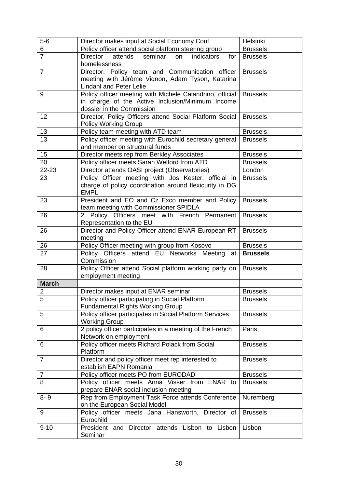| $5-6$          | Director makes input at Social Economy Conf                                                                                               | Helsinki        |
|----------------|-------------------------------------------------------------------------------------------------------------------------------------------|-----------------|
| 6              | Policy officer attend social platform steering group                                                                                      | <b>Brussels</b> |
| $\overline{7}$ | attends<br>Director<br>seminar<br>indicators<br>on<br>for<br>homelessness                                                                 | <b>Brussels</b> |
| $\overline{7}$ | Director, Policy team and Communication officer<br>meeting with Jérôme Vignon, Adam Tyson, Katarina<br><b>Lindahl and Peter Lelie</b>     | <b>Brussels</b> |
| 9              | Policy officer meeting with Michele Calandrino, official<br>in charge of the Active Inclusion/Minimum Income<br>dossier in the Commission | <b>Brussels</b> |
| 12             | Director, Policy Officers attend Social Platform Social<br><b>Policy Working Group</b>                                                    | <b>Brussels</b> |
| 13             | Policy team meeting with ATD team                                                                                                         | <b>Brussels</b> |
| 13             | Policy officer meeting with Eurochild secretary general<br>and member on structural funds                                                 | <b>Brussels</b> |
| 15             | Director meets rep from Berkley Associates                                                                                                | <b>Brussels</b> |
| 20             | Policy officer meets Sarah Welford from ATD                                                                                               | <b>Brussels</b> |
| 22-23          | Director attends OASI project (Observatories)                                                                                             | London          |
| 23             | Policy Officer meeting with Jos Kester, official in<br>charge of policy coordination around flexicurity in DG<br><b>EMPL</b>              | <b>Brussels</b> |
| 23             | President and EO and Cz Exco member and Policy<br>team meeting with Commissioner SPIDLA                                                   | <b>Brussels</b> |
| 26             | 2 Policy Officers meet with French Permanent<br>Representation to the EU                                                                  | <b>Brussels</b> |
| 26             | Director and Policy Officer attend ENAR European RT<br>meeting                                                                            | <b>Brussels</b> |
| 26             | Policy Officer meeting with group from Kosovo                                                                                             | <b>Brussels</b> |
| 27             | Policy Officers attend EU Networks Meeting<br>at<br>Commission                                                                            | <b>Brussels</b> |
| 28             | Policy Officer attend Social platform working party on<br>employment meeting                                                              | <b>Brussels</b> |
| <b>March</b>   |                                                                                                                                           |                 |
| 2              | Director makes input at ENAR seminar                                                                                                      | <b>Brussels</b> |
| 5              | Policy officer participating in Social Platform<br><b>Fundamental Rights Working Group</b>                                                | <b>Brussels</b> |
| 5              | Policy officer participates in Social Platform Services<br><b>Working Group</b>                                                           | <b>Brussels</b> |
| 6              | 2 policy officer participates in a meeting of the French<br>Network on employment                                                         | Paris           |
| 6              | Policy officer meets Richard Polack from Social<br>Platform                                                                               | <b>Brussels</b> |
| $\overline{7}$ | Director and policy officer meet rep interested to<br>establish EAPN Romania                                                              | <b>Brussels</b> |
| 7              | Policy officer meets PO from EURODAD                                                                                                      | <b>Brussels</b> |
| 8              | Policy officer meets Anna Visser from ENAR to<br>prepare ENAR social inclusion meeting                                                    | <b>Brussels</b> |
| $8 - 9$        | Rep from Employment Task Force attends Conference<br>on the European Social Model                                                         | Nuremberg       |
| 9              | Policy officer meets Jana Hansworth, Director of<br>Eurochild                                                                             | <b>Brussels</b> |
| $9 - 10$       | President and Director attends Lisbon to Lisbon<br>Seminar                                                                                | Lisbon          |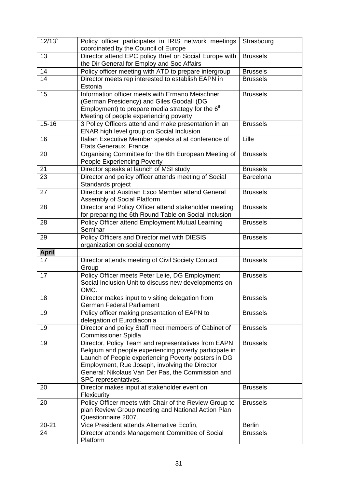| 12/13        | Policy officer participates in IRIS network meetings<br>coordinated by the Council of Europe                                                                                                                                                                                                        | Strasbourg      |
|--------------|-----------------------------------------------------------------------------------------------------------------------------------------------------------------------------------------------------------------------------------------------------------------------------------------------------|-----------------|
| 13           | Director attend EPC policy Brief on Social Europe with<br>the Dir General for Employ and Soc Affairs                                                                                                                                                                                                | <b>Brussels</b> |
| 14           | Policy officer meeting with ATD to prepare intergroup                                                                                                                                                                                                                                               | <b>Brussels</b> |
| 14           | Director meets rep interested to establish EAPN in<br>Estonia                                                                                                                                                                                                                                       | <b>Brussels</b> |
| 15           | Information officer meets with Ermano Meischner<br>(German Presidency) and Giles Goodall (DG<br>Employment) to prepare media strategy for the $6th$<br>Meeting of people experiencing poverty                                                                                                       | <b>Brussels</b> |
| $15 - 16$    | 3 Policy Officers attend and make presentation in an<br>ENAR high level group on Social Inclusion                                                                                                                                                                                                   | <b>Brussels</b> |
| 16           | Italian Executive Member speaks at at conference of<br>Etats Generaux, France                                                                                                                                                                                                                       | Lille           |
| 20           | Organising Committee for the 6th European Meeting of<br><b>People Experiencing Poverty</b>                                                                                                                                                                                                          | <b>Brussels</b> |
| 21           | Director speaks at launch of MSI study                                                                                                                                                                                                                                                              | <b>Brussels</b> |
| 23           | Director and policy officer attends meeting of Social<br>Standards project                                                                                                                                                                                                                          | Barcelona       |
| 27           | Director and Austrian Exco Member attend General<br>Assembly of Social Platform                                                                                                                                                                                                                     | <b>Brussels</b> |
| 28           | Director and Policy Officer attend stakeholder meeting<br>for preparing the 6th Round Table on Social Inclusion                                                                                                                                                                                     | <b>Brussels</b> |
| 28           | Policy Officer attend Employment Mutual Learning<br>Seminar                                                                                                                                                                                                                                         | <b>Brussels</b> |
| 29           | Policy Officers and Director met with DIESIS<br>organization on social economy                                                                                                                                                                                                                      | <b>Brussels</b> |
| <b>April</b> |                                                                                                                                                                                                                                                                                                     |                 |
| 17           | Director attends meeting of Civil Society Contact<br>Group                                                                                                                                                                                                                                          | <b>Brussels</b> |
| 17           | Policy Officer meets Peter Lelie, DG Employment<br>Social Inclusion Unit to discuss new developments on<br>OMC.                                                                                                                                                                                     | <b>Brussels</b> |
| 18           | Director makes input to visiting delegation from<br><b>German Federal Parliament</b>                                                                                                                                                                                                                | <b>Brussels</b> |
| 19           | Policy officer making presentation of EAPN to<br>delegation of Eurodiaconia                                                                                                                                                                                                                         | <b>Brussels</b> |
| 19           | Director and policy Staff meet members of Cabinet of<br><b>Commissioner Spidla</b>                                                                                                                                                                                                                  | <b>Brussels</b> |
| 19           | Director, Policy Team and representatives from EAPN<br>Belgium and people experiencing poverty participate in<br>Launch of People experiencing Poverty posters in DG<br>Employment, Rue Joseph, involving the Director<br>General: Nikolaus Van Der Pas, the Commission and<br>SPC representatives. | <b>Brussels</b> |
| 20           | Director makes input at stakeholder event on<br>Flexicurity                                                                                                                                                                                                                                         | <b>Brussels</b> |
| 20           | Policy Officer meets with Chair of the Review Group to<br>plan Review Group meeting and National Action Plan<br>Questionnaire 2007.                                                                                                                                                                 | <b>Brussels</b> |
| $20 - 21$    | Vice President attends Alternative Ecofin,                                                                                                                                                                                                                                                          | <b>Berlin</b>   |
| 24           | Director attends Management Committee of Social<br>Platform                                                                                                                                                                                                                                         | <b>Brussels</b> |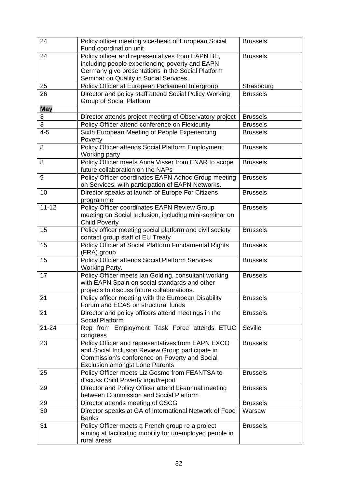| 24         | Policy officer meeting vice-head of European Social<br>Fund coordination unit                                                                                                                     | <b>Brussels</b> |
|------------|---------------------------------------------------------------------------------------------------------------------------------------------------------------------------------------------------|-----------------|
| 24         | Policy officer and representatives from EAPN BE,<br>including people experiencing poverty and EAPN<br>Germany give presentations in the Social Platform<br>Seminar on Quality in Social Services. | <b>Brussels</b> |
| 25         | Policy Officer at European Parliament Intergroup                                                                                                                                                  | Strasbourg      |
| 26         | Director and policy staff attend Social Policy Working<br>Group of Social Platform                                                                                                                | <b>Brussels</b> |
| <b>May</b> |                                                                                                                                                                                                   |                 |
| 3          | Director attends project meeting of Observatory project                                                                                                                                           | <b>Brussels</b> |
| 3          | Policy Officer attend conference on Flexicurity                                                                                                                                                   | <b>Brussels</b> |
| $4 - 5$    | Sixth European Meeting of People Experiencing<br>Poverty                                                                                                                                          | <b>Brussels</b> |
| 8          | Policy Officer attends Social Platform Employment<br>Working party                                                                                                                                | <b>Brussels</b> |
| 8          | Policy Officer meets Anna Visser from ENAR to scope<br>future collaboration on the NAPs                                                                                                           | <b>Brussels</b> |
| 9          | Policy Officer coordinates EAPN Adhoc Group meeting<br>on Services, with participation of EAPN Networks.                                                                                          | <b>Brussels</b> |
| 10         | Director speaks at launch of Europe For Citizens<br>programme                                                                                                                                     | <b>Brussels</b> |
| $11 - 12$  | Policy Officer coordinates EAPN Review Group<br>meeting on Social Inclusion, including mini-seminar on<br><b>Child Poverty</b>                                                                    | <b>Brussels</b> |
| 15         | Policy officer meeting social platform and civil society<br>contact group staff of EU Treaty                                                                                                      | <b>Brussels</b> |
| 15         | Policy Officer at Social Platform Fundamental Rights<br>(FRA) group                                                                                                                               | <b>Brussels</b> |
| 15         | Policy Officer attends Social Platform Services<br>Working Party.                                                                                                                                 | <b>Brussels</b> |
| 17         | Policy Officer meets Ian Golding, consultant working<br>with EAPN Spain on social standards and other<br>projects to discuss future collaborations.                                               | <b>Brussels</b> |
| 21         | Policy officer meeting with the European Disability<br>Forum and ECAS on structural funds                                                                                                         | <b>Brussels</b> |
| 21         | Director and policy officers attend meetings in the<br>Social Platform                                                                                                                            | <b>Brussels</b> |
| $21 - 24$  | Rep from Employment Task Force attends ETUC<br>congress                                                                                                                                           | Seville         |
| 23         | Policy Officer and representatives from EAPN EXCO<br>and Social Inclusion Review Group participate in<br>Commission's conference on Poverty and Social<br><b>Exclusion amongst Lone Parents</b>   | <b>Brussels</b> |
| 25         | Policy Officer meets Liz Gosme from FEANTSA to<br>discuss Child Poverty input/report                                                                                                              | <b>Brussels</b> |
| 29         | Director and Policy Officer attend bi-annual meeting<br>between Commission and Social Platform                                                                                                    | <b>Brussels</b> |
| 29         | Director attends meeting of CSCG                                                                                                                                                                  | <b>Brussels</b> |
| 30         | Director speaks at GA of International Network of Food<br><b>Banks</b>                                                                                                                            | Warsaw          |
| 31         | Policy Officer meets a French group re a project<br>aiming at facilitating mobility for unemployed people in<br>rural areas                                                                       | <b>Brussels</b> |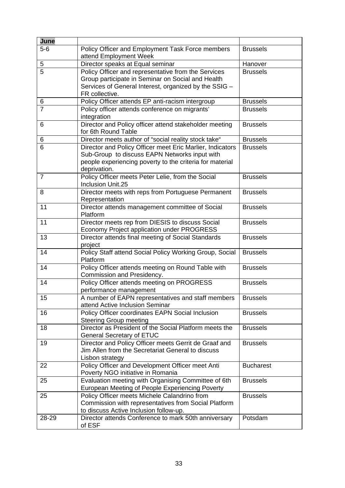| June                |                                                                                                  |                  |
|---------------------|--------------------------------------------------------------------------------------------------|------------------|
| $5-6$               | Policy Officer and Employment Task Force members                                                 | <b>Brussels</b>  |
|                     | attend Employment Week                                                                           |                  |
| 5                   | Director speaks at Equal seminar                                                                 | Hanover          |
| $\overline{5}$      | Policy Officer and representative from the Services                                              | <b>Brussels</b>  |
|                     | Group participate in Seminar on Social and Health                                                |                  |
|                     | Services of General Interest, organized by the SSIG -<br>FR collective.                          |                  |
|                     | Policy Officer attends EP anti-racism intergroup                                                 | <b>Brussels</b>  |
| 6<br>$\overline{7}$ | Policy officer attends conference on migrants'                                                   | <b>Brussels</b>  |
|                     | integration                                                                                      |                  |
| 6                   | Director and Policy officer attend stakeholder meeting                                           | <b>Brussels</b>  |
|                     | for 6th Round Table                                                                              |                  |
| 6                   | Director meets author of "social reality stock take"                                             | <b>Brussels</b>  |
| 6                   | Director and Policy Officer meet Eric Marlier, Indicators                                        | <b>Brussels</b>  |
|                     | Sub-Group to discuss EAPN Networks input with                                                    |                  |
|                     | people experiencing poverty to the criteria for material<br>deprivation.                         |                  |
| $\overline{7}$      | Policy Officer meets Peter Lelie, from the Social                                                | <b>Brussels</b>  |
|                     | <b>Inclusion Unit.25</b>                                                                         |                  |
| 8                   | Director meets with reps from Portuguese Permanent                                               | <b>Brussels</b>  |
|                     | Representation                                                                                   |                  |
| 11                  | Director attends management committee of Social                                                  | <b>Brussels</b>  |
|                     | Platform                                                                                         |                  |
| 11                  | Director meets rep from DIESIS to discuss Social                                                 | <b>Brussels</b>  |
| 13                  | Economy Project application under PROGRESS<br>Director attends final meeting of Social Standards | <b>Brussels</b>  |
|                     | project                                                                                          |                  |
| 14                  | Policy Staff attend Social Policy Working Group, Social                                          | <b>Brussels</b>  |
|                     | Platform                                                                                         |                  |
| 14                  | Policy Officer attends meeting on Round Table with                                               | <b>Brussels</b>  |
|                     | Commission and Presidency.                                                                       |                  |
| 14                  | Policy Officer attends meeting on PROGRESS                                                       | <b>Brussels</b>  |
|                     | performance management                                                                           |                  |
| 15                  | A number of EAPN representatives and staff members<br>attend Active Inclusion Seminar            | <b>Brussels</b>  |
| 16                  | Policy Officer coordinates EAPN Social Inclusion                                                 | <b>Brussels</b>  |
|                     | <b>Steering Group meeting</b>                                                                    |                  |
| 18                  | Director as President of the Social Platform meets the                                           | <b>Brussels</b>  |
|                     | <b>General Secretary of ETUC</b>                                                                 |                  |
| 19                  | Director and Policy Officer meets Gerrit de Graaf and                                            | <b>Brussels</b>  |
|                     | Jim Allen from the Secretariat General to discuss                                                |                  |
|                     | Lisbon strategy                                                                                  |                  |
| 22                  | Policy Officer and Development Officer meet Anti                                                 | <b>Bucharest</b> |
|                     | Poverty NGO initiative in Romania                                                                |                  |
| 25                  | Evaluation meeting with Organising Committee of 6th                                              | <b>Brussels</b>  |
|                     | European Meeting of People Experiencing Poverty                                                  |                  |
| 25                  | Policy Officer meets Michele Calandrino from                                                     | <b>Brussels</b>  |
|                     | Commission with representatives from Social Platform<br>to discuss Active Inclusion follow-up.   |                  |
| 28-29               | Director attends Conference to mark 50th anniversary                                             | Potsdam          |
|                     | of ESF                                                                                           |                  |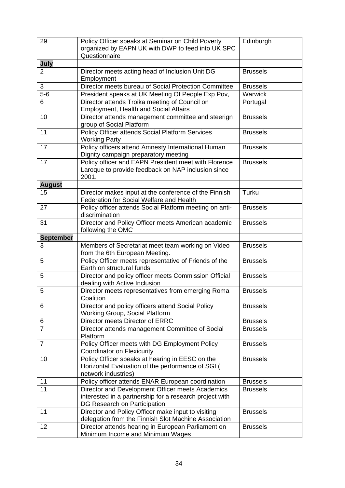| 29                    | Policy Officer speaks at Seminar on Child Poverty                                       | Edinburgh       |
|-----------------------|-----------------------------------------------------------------------------------------|-----------------|
|                       | organized by EAPN UK with DWP to feed into UK SPC                                       |                 |
|                       | Questionnaire                                                                           |                 |
| July                  |                                                                                         |                 |
| $\overline{2}$        | Director meets acting head of Inclusion Unit DG                                         | <b>Brussels</b> |
|                       | Employment                                                                              |                 |
| 3                     | Director meets bureau of Social Protection Committee                                    | <b>Brussels</b> |
| $5-6$                 | President speaks at UK Meeting Of People Exp Pov,                                       | Warwick         |
| 6                     | Director attends Troika meeting of Council on                                           | Portugal        |
|                       | <b>Employment, Health and Social Affairs</b>                                            |                 |
| 10                    | Director attends management committee and steerign                                      | <b>Brussels</b> |
|                       | group of Social Platform                                                                |                 |
| 11                    | Policy Officer attends Social Platform Services                                         | <b>Brussels</b> |
|                       | <b>Working Party</b>                                                                    |                 |
| 17                    | Policy officers attend Amnesty International Human                                      | <b>Brussels</b> |
|                       | Dignity campaign preparatory meeting                                                    |                 |
| 17                    | Policy officer and EAPN President meet with Florence                                    | <b>Brussels</b> |
|                       | Laroque to provide feedback on NAP inclusion since                                      |                 |
|                       | 2001.                                                                                   |                 |
| <b>August</b>         |                                                                                         |                 |
| 15                    | Director makes input at the conference of the Finnish                                   | Turku           |
|                       | <b>Federation for Social Welfare and Health</b>                                         |                 |
| 27                    | Policy officer attends Social Platform meeting on anti-                                 | <b>Brussels</b> |
|                       | discrimination                                                                          |                 |
| 31                    | Director and Policy Officer meets American academic                                     | <b>Brussels</b> |
|                       | following the OMC                                                                       |                 |
| <b>September</b><br>3 |                                                                                         |                 |
|                       | Members of Secretariat meet team working on Video                                       | <b>Brussels</b> |
| 5                     | from the 6th European Meeting.<br>Policy Officer meets representative of Friends of the | <b>Brussels</b> |
|                       | Earth on structural funds                                                               |                 |
| 5                     | Director and policy officer meets Commission Official                                   | <b>Brussels</b> |
|                       | dealing with Active Inclusion                                                           |                 |
| 5                     | Director meets representatives from emerging Roma                                       | <b>Brussels</b> |
|                       | Coalition                                                                               |                 |
| 6                     | Director and policy officers attend Social Policy                                       | <b>Brussels</b> |
|                       | <b>Working Group, Social Platform</b>                                                   |                 |
| 6                     | Director meets Director of ERRC                                                         | <b>Brussels</b> |
| $\overline{7}$        | Director attends management Committee of Social                                         | <b>Brussels</b> |
|                       | Platform                                                                                |                 |
| $\overline{7}$        | Policy Officer meets with DG Employment Policy                                          | <b>Brussels</b> |
|                       | <b>Coordinator on Flexicurity</b>                                                       |                 |
| 10                    | Policy Officer speaks at hearing in EESC on the                                         | <b>Brussels</b> |
|                       | Horizontal Evaluation of the performance of SGI (                                       |                 |
|                       | network industries)                                                                     |                 |
| 11                    | Policy officer attends ENAR European coordination                                       | <b>Brussels</b> |
| 11                    | Director and Development Officer meets Academics                                        | <b>Brussels</b> |
|                       | interested in a partnership for a research project with                                 |                 |
|                       | DG Research on Participation                                                            |                 |
| 11                    | Director and Policy Officer make input to visiting                                      | <b>Brussels</b> |
|                       | delegation from the Finnish Slot Machine Association                                    |                 |
| 12                    | Director attends hearing in European Parliament on<br>Minimum Income and Minimum Wages  | <b>Brussels</b> |
|                       |                                                                                         |                 |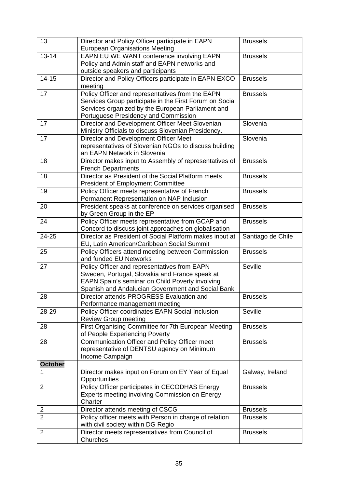| 13                  | Director and Policy Officer participate in EAPN<br><b>European Organisations Meeting</b>                        | <b>Brussels</b>                    |
|---------------------|-----------------------------------------------------------------------------------------------------------------|------------------------------------|
| $13 - 14$           | EAPN EU WE WANT conference involving EAPN                                                                       | <b>Brussels</b>                    |
|                     | Policy and Admin staff and EAPN networks and                                                                    |                                    |
|                     | outside speakers and participants                                                                               |                                    |
| $14 - 15$           | Director and Policy Officers participate in EAPN EXCO                                                           | <b>Brussels</b>                    |
|                     | meeting                                                                                                         |                                    |
| 17                  | Policy Officer and representatives from the EAPN                                                                | <b>Brussels</b>                    |
|                     | Services Group participate in the First Forum on Social                                                         |                                    |
|                     | Services organized by the European Parliament and                                                               |                                    |
|                     | Portuguese Presidency and Commission                                                                            |                                    |
| 17                  | Director and Development Officer Meet Slovenian                                                                 | Slovenia                           |
|                     | Ministry Officials to discuss Slovenian Presidency.                                                             |                                    |
| 17                  | Director and Development Officer Meet                                                                           | Slovenia                           |
|                     | representatives of Slovenian NGOs to discuss building                                                           |                                    |
|                     | an EAPN Network in Slovenia.                                                                                    |                                    |
| 18                  | Director makes input to Assembly of representatives of                                                          | <b>Brussels</b>                    |
|                     | <b>French Departments</b>                                                                                       |                                    |
| 18                  | Director as President of the Social Platform meets                                                              | <b>Brussels</b>                    |
|                     | <b>President of Employment Committee</b>                                                                        |                                    |
| 19                  | Policy Officer meets representative of French                                                                   | <b>Brussels</b>                    |
|                     | Permanent Representation on NAP Inclusion                                                                       |                                    |
| 20                  | President speaks at conference on services organised                                                            | <b>Brussels</b>                    |
| 24                  | by Green Group in the EP                                                                                        |                                    |
|                     | Policy Officer meets representative from GCAP and                                                               | <b>Brussels</b>                    |
| 24-25               | Concord to discuss joint approaches on globalisation<br>Director as President of Social Platform makes input at |                                    |
|                     | EU, Latin American/Caribbean Social Summit                                                                      | Santiago de Chile                  |
| 25                  | Policy Officers attend meeting between Commission                                                               | <b>Brussels</b>                    |
|                     | and funded EU Networks                                                                                          |                                    |
| 27                  | Policy Officer and representatives from EAPN                                                                    | Seville                            |
|                     | Sweden, Portugal, Slovakia and France speak at                                                                  |                                    |
|                     | EAPN Spain's seminar on Child Poverty involving                                                                 |                                    |
|                     | Spanish and Andalucian Government and Social Bank                                                               |                                    |
| 28                  | Director attends PROGRESS Evaluation and                                                                        | <b>Brussels</b>                    |
|                     | Performance management meeting                                                                                  |                                    |
| 28-29               | Policy Officer coordinates EAPN Social Inclusion                                                                | Seville                            |
|                     | <b>Review Group meeting</b>                                                                                     |                                    |
| 28                  | First Organising Committee for 7th European Meeting                                                             | <b>Brussels</b>                    |
|                     | of People Experiencing Poverty                                                                                  |                                    |
| 28                  | Communication Officer and Policy Officer meet                                                                   | <b>Brussels</b>                    |
|                     | representative of DENTSU agency on Minimum                                                                      |                                    |
|                     | Income Campaign                                                                                                 |                                    |
| <b>October</b>      |                                                                                                                 |                                    |
|                     | Director makes input on Forum on EY Year of Equal                                                               | Galway, Ireland                    |
|                     | Opportunities                                                                                                   |                                    |
| $\overline{2}$      | Policy Officer participates in CECODHAS Energy                                                                  | <b>Brussels</b>                    |
|                     | Experts meeting involving Commission on Energy                                                                  |                                    |
|                     | Charter                                                                                                         |                                    |
| 2<br>$\overline{2}$ | Director attends meeting of CSCG<br>Policy officer meets with Person in charge of relation                      | <b>Brussels</b><br><b>Brussels</b> |
|                     | with civil society within DG Regio                                                                              |                                    |
| $\overline{2}$      | Director meets representatives from Council of                                                                  | <b>Brussels</b>                    |
|                     | Churches                                                                                                        |                                    |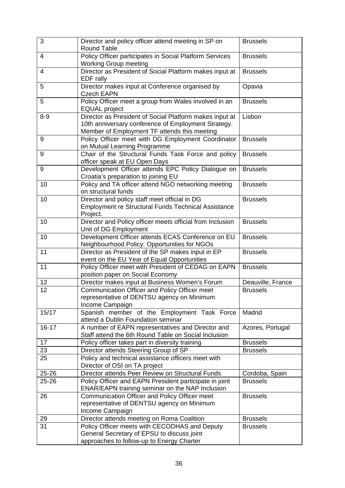| 3              | Director and policy officer attend meeting in SP on<br><b>Round Table</b>                                                                                      | <b>Brussels</b>   |
|----------------|----------------------------------------------------------------------------------------------------------------------------------------------------------------|-------------------|
| $\overline{4}$ | Policy Officer participates in Social Platform Services<br><b>Working Group meeting</b>                                                                        | <b>Brussels</b>   |
| 4              | Director as President of Social Platform makes input at<br>EDF rally                                                                                           | <b>Brussels</b>   |
| 5              | Director makes input at Conference organised by<br><b>Czech EAPN</b>                                                                                           | Opavia            |
| 5              | Policy Officer meet a group from Wales involved in an<br><b>EQUAL</b> project                                                                                  | <b>Brussels</b>   |
| $8-9$          | Director as President of Social Platform makes input at<br>10th anniversary conference of Employment Strategy.<br>Member of Employment TF attends this meeting | Lisbon            |
| 9              | Policy Officer meet with DG Employment Coordinator<br>on Mutual Learning Programme                                                                             | <b>Brussels</b>   |
| 9              | Chair of the Structural Funds Task Force and policy<br>officer speak at EU Open Days                                                                           | <b>Brussels</b>   |
| 9              | Development Officer attends EPC Policy Dialogue on<br>Croatia's preparation to joining EU                                                                      | <b>Brussels</b>   |
| 10             | Policy and TA officer attend NGO networking meeting<br>on structural funds                                                                                     | <b>Brussels</b>   |
| 10             | Director and policy staff meet official in DG<br><b>Employment re Structural Funds Technical Assistance</b><br>Project.                                        | <b>Brussels</b>   |
| 10             | Director and Policy officer meets official from Inclusion<br>Unit of DG Employment                                                                             | <b>Brussels</b>   |
| 10             | Development Officer attends ECAS Conference on EU<br>Neighbourhood Policy: Opportunities for NGOs                                                              | <b>Brussels</b>   |
| 11             | Director as President of the SP makes input in EP<br>event on the EU Year of Equal Opportunities                                                               | <b>Brussels</b>   |
| 11             | Policy Officer meet with President of CEDAG on EAPN<br>position paper on Social Economy                                                                        | <b>Brussels</b>   |
| 12             | Director makes input at Business Women's Forum                                                                                                                 | Deauville, France |
| 12             | Communication Officer and Policy Officer meet<br>representative of DENTSU agency on Minimum<br>Income Campaign                                                 | <b>Brussels</b>   |
| 15/17          | Spanish member of the Employment Task Force<br>attend a Dublin Foundation seminar                                                                              | Madrid            |
| $16 - 17$      | A number of EAPN representatives and Director and<br>Staff attend the 6th Round Table on Social Inclusion                                                      | Azores, Portugal  |
| 17             | Policy officer takes part in diversity training                                                                                                                | <b>Brussels</b>   |
| 23             | Director attends Steering Group of SP                                                                                                                          | <b>Brussels</b>   |
| 25             | Policy and technical assistance officers meet with<br>Director of OSI on TA project                                                                            |                   |
| 25-26          | Director attends Peer Review on Structural Funds                                                                                                               | Cordoba, Spain    |
| $25 - 26$      | Policy Officer and EAPN President participate in joint<br>ENAR/EAPN training seminar on the NAP Inclusion                                                      | <b>Brussels</b>   |
| 26             | Communication Officer and Policy Officer meet<br>representative of DENTSU agency on Minimum<br>Income Campaign                                                 | <b>Brussels</b>   |
| 29             | Director attends meeting on Roma Coalition                                                                                                                     | <b>Brussels</b>   |
| 31             | Policy Officer meets with CECODHAS and Deputy<br>General Secretary of EPSU to discuss joint<br>approaches to follow-up to Energy Charter                       | <b>Brussels</b>   |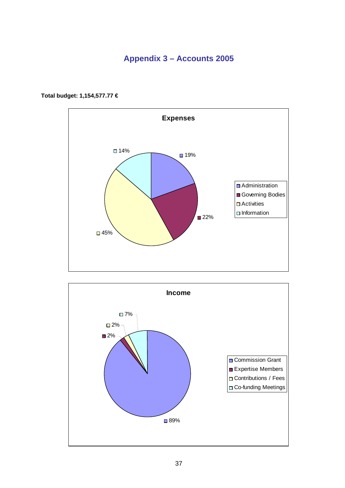## **Appendix 3 – Accounts 2005**



**Total budget: 1,154,577.77 €**